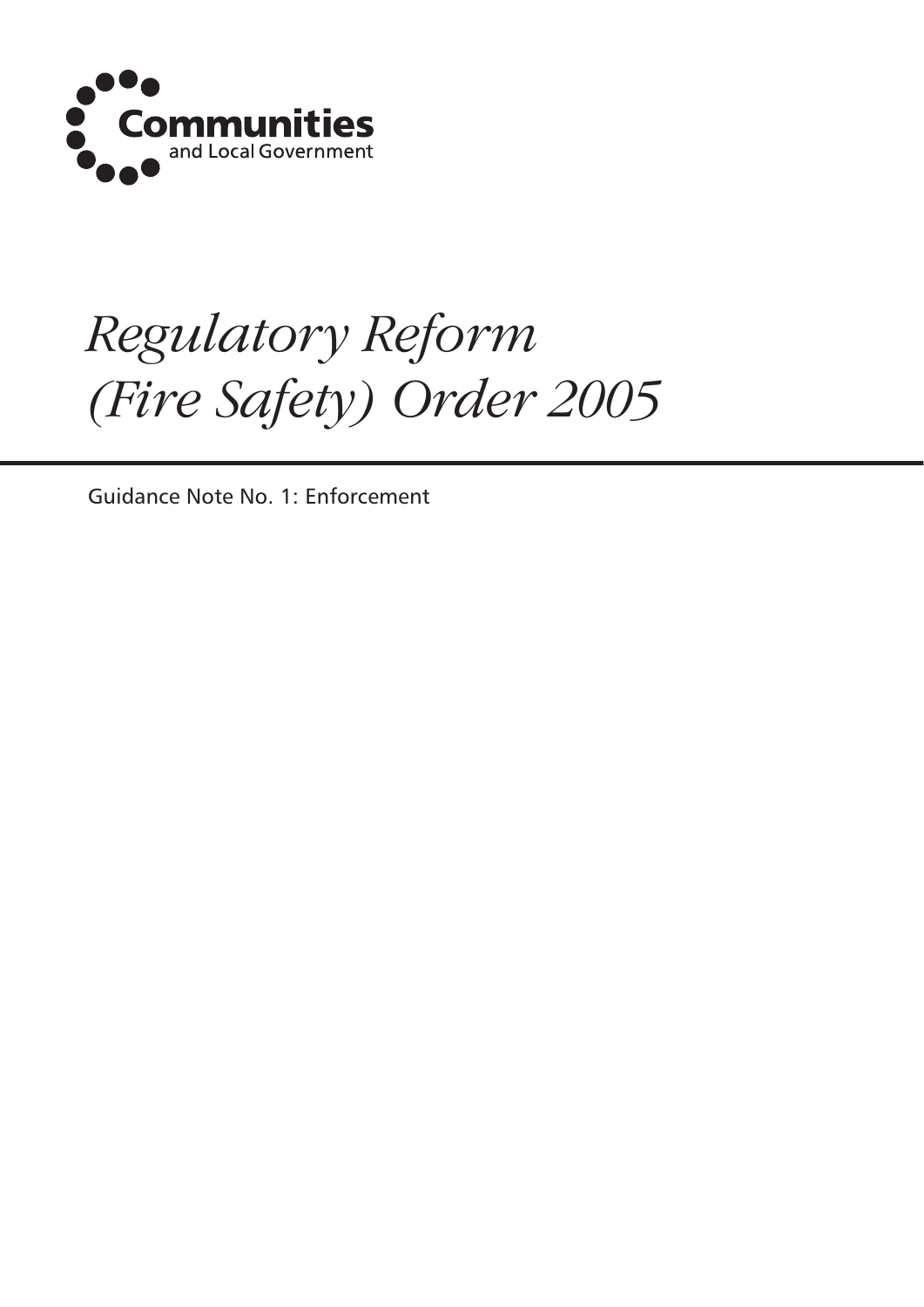

# *Regulatory Reform (Fire Safety) Order 2005*

Guidance Note No. 1: Enforcement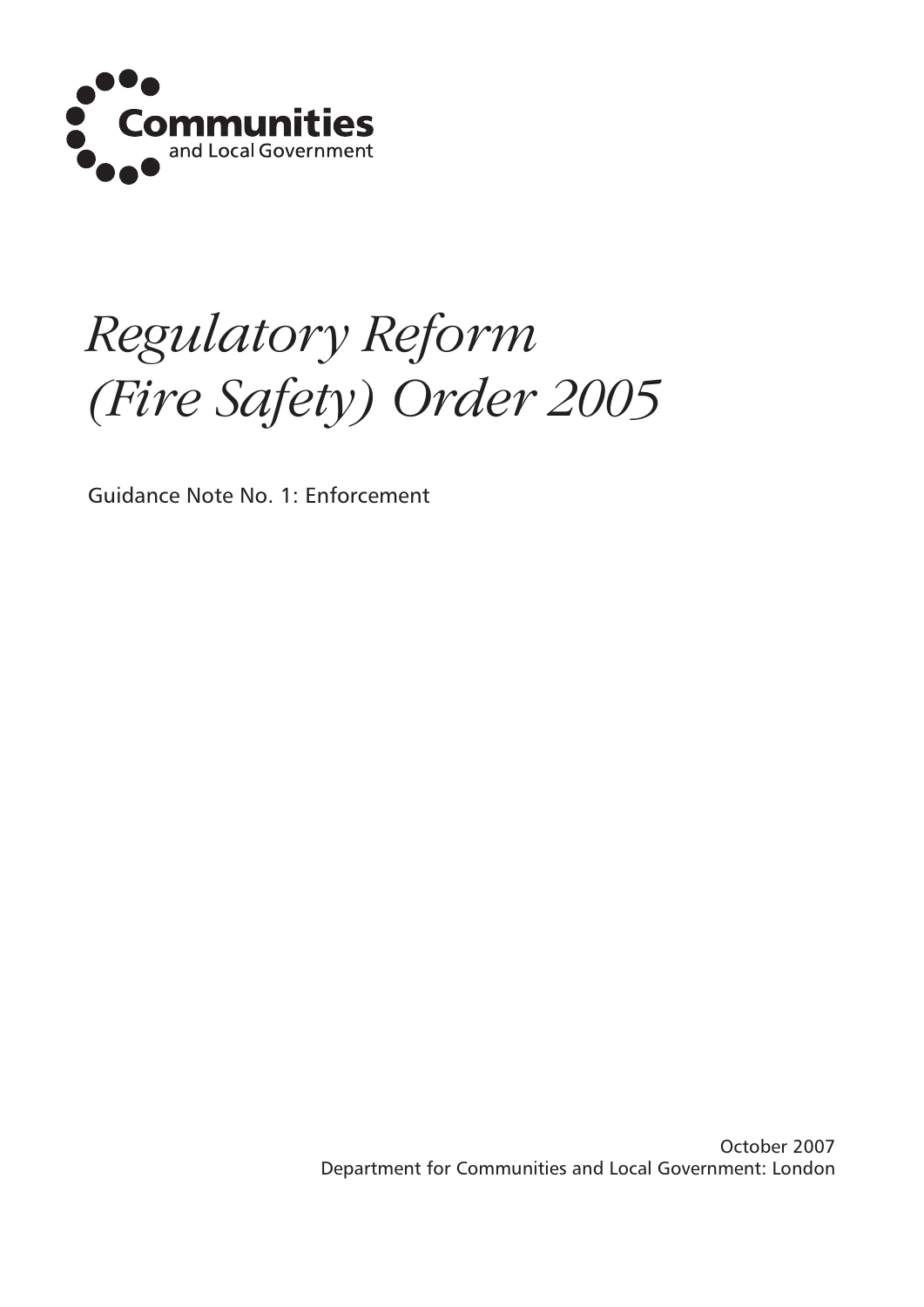

# *Regulatory Reform (Fire Safety) Order 2005*

Guidance Note No. 1: Enforcement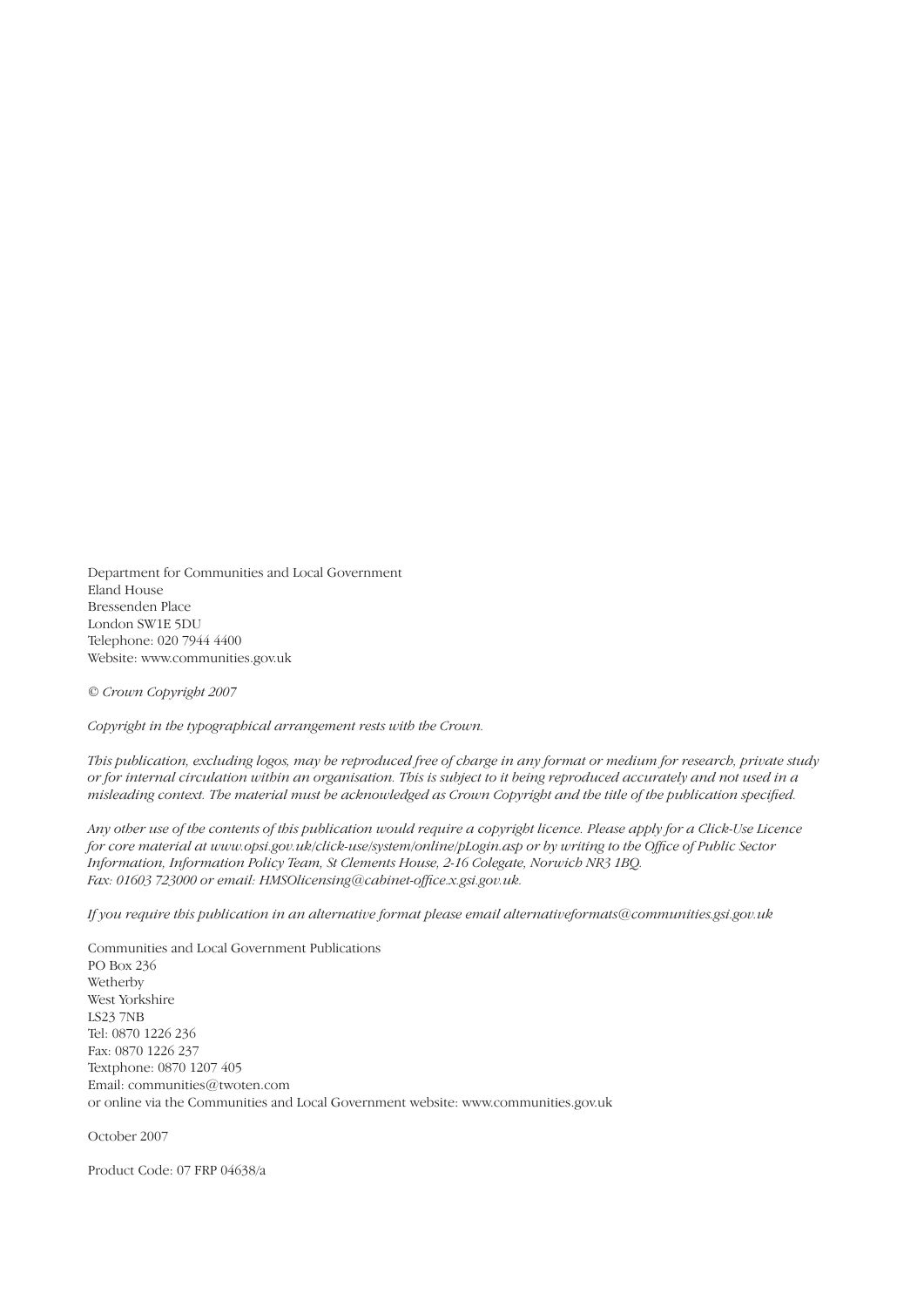Department for Communities and Local Government Eland House Bressenden Place London SW1E 5DU Telephone: 020 7944 4400 Website: www.communities.gov.uk

*© Crown Copyright 2007*

*Copyright in the typographical arrangement rests with the Crown.*

*This publication, excluding logos, may be reproduced free of charge in any format or medium for research, private study or for internal circulation within an organisation. This is subject to it being reproduced accurately and not used in a*  misleading context. The material must be acknowledged as Crown Copyright and the title of the publication specified.

*Any other use of the contents of this publication would require a copyright licence. Please apply for a Click-Use Licence for core material at www.opsi.gov.uk/click-use/system/online/pLogin.asp or by writing to the Office of Public Sector Information, Information Policy Team, St Clements House, 2-16 Colegate, Norwich NR3 1BQ. Fax: 01603 723000 or email: HMSOlicensing@cabinet-office.x.gsi.gov.uk.* 

*If you require this publication in an alternative format please email alternativeformats@communities.gsi.gov.uk*

Communities and Local Government Publications PO Box 236 Wetherby West Yorkshire LS23 7NB Tel: 0870 1226 236 Fax: 0870 1226 237 Textphone: 0870 1207 405 Email: communities@twoten.com or online via the Communities and Local Government website: www.communities.gov.uk

October 2007

Product Code: 07 FRP 04638/a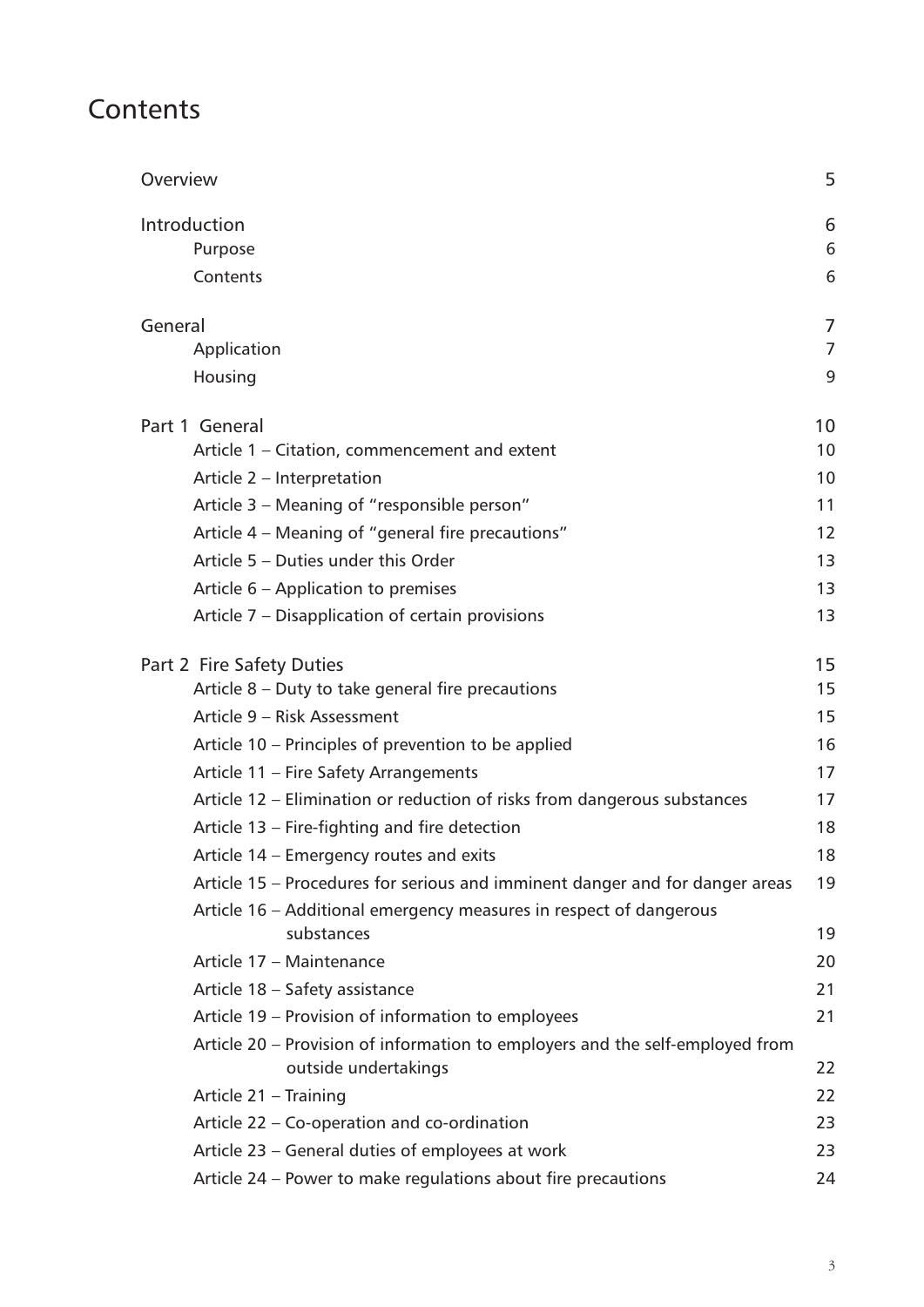# **Contents**

| Overview                                                                                              | 5              |
|-------------------------------------------------------------------------------------------------------|----------------|
| Introduction                                                                                          | 6              |
| Purpose                                                                                               | 6              |
| Contents                                                                                              | 6              |
| General                                                                                               | 7              |
| Application                                                                                           | $\overline{7}$ |
| Housing                                                                                               | 9              |
| Part 1 General                                                                                        | 10             |
| Article 1 – Citation, commencement and extent                                                         | 10             |
| Article 2 – Interpretation                                                                            | 10             |
| Article 3 – Meaning of "responsible person"                                                           | 11             |
| Article 4 – Meaning of "general fire precautions"                                                     | 12             |
| Article 5 - Duties under this Order                                                                   | 13             |
| Article 6 – Application to premises                                                                   | 13             |
| Article 7 – Disapplication of certain provisions                                                      | 13             |
| Part 2 Fire Safety Duties                                                                             | 15             |
| Article 8 - Duty to take general fire precautions                                                     | 15             |
| Article 9 - Risk Assessment                                                                           | 15             |
| Article 10 – Principles of prevention to be applied                                                   | 16             |
| Article 11 - Fire Safety Arrangements                                                                 | 17             |
| Article 12 - Elimination or reduction of risks from dangerous substances                              | 17             |
| Article 13 – Fire-fighting and fire detection                                                         | 18             |
| Article 14 - Emergency routes and exits                                                               | 18             |
| Article 15 – Procedures for serious and imminent danger and for danger areas                          | 19             |
| Article 16 – Additional emergency measures in respect of dangerous                                    |                |
| substances                                                                                            | 19             |
| Article 17 - Maintenance                                                                              | 20             |
| Article 18 - Safety assistance                                                                        | 21             |
| Article 19 - Provision of information to employees                                                    | 21             |
| Article 20 – Provision of information to employers and the self-employed from<br>outside undertakings | 22             |
| Article 21 - Training                                                                                 | 22             |
| Article 22 – Co-operation and co-ordination                                                           | 23             |
| Article 23 - General duties of employees at work                                                      | 23             |
| Article 24 - Power to make regulations about fire precautions                                         | 24             |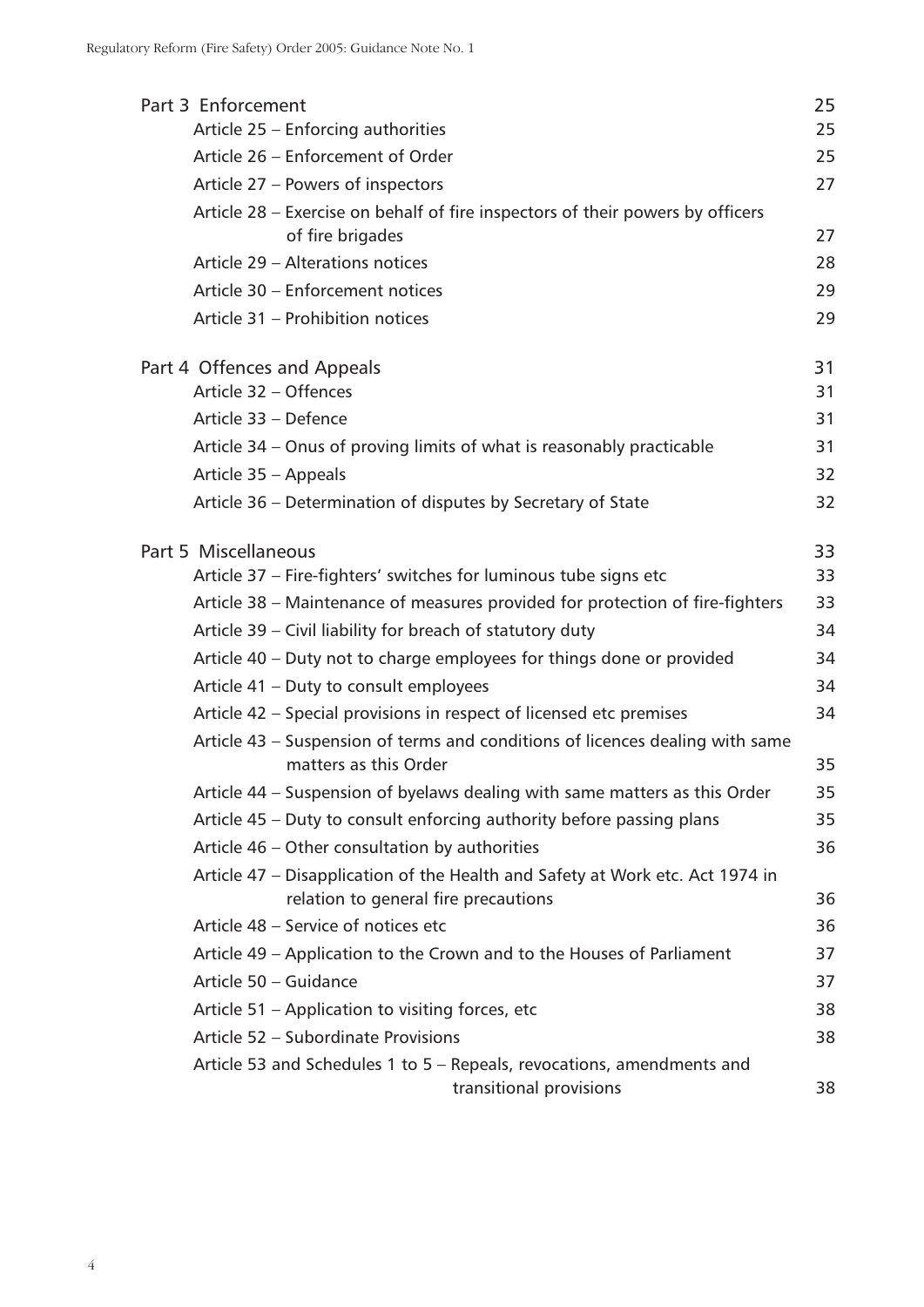| Part 3 Enforcement                                                                                                    | 25 |
|-----------------------------------------------------------------------------------------------------------------------|----|
| Article 25 - Enforcing authorities                                                                                    | 25 |
| Article 26 - Enforcement of Order                                                                                     | 25 |
| Article 27 - Powers of inspectors                                                                                     | 27 |
| Article 28 – Exercise on behalf of fire inspectors of their powers by officers                                        |    |
| of fire brigades                                                                                                      | 27 |
| Article 29 - Alterations notices                                                                                      | 28 |
| Article 30 - Enforcement notices                                                                                      | 29 |
| Article 31 - Prohibition notices                                                                                      | 29 |
| Part 4 Offences and Appeals                                                                                           | 31 |
| Article 32 - Offences                                                                                                 | 31 |
| Article 33 - Defence                                                                                                  | 31 |
| Article 34 - Onus of proving limits of what is reasonably practicable                                                 | 31 |
| Article 35 - Appeals                                                                                                  | 32 |
| Article 36 - Determination of disputes by Secretary of State                                                          | 32 |
| Part 5 Miscellaneous                                                                                                  | 33 |
| Article 37 - Fire-fighters' switches for luminous tube signs etc                                                      | 33 |
| Article 38 – Maintenance of measures provided for protection of fire-fighters                                         | 33 |
| Article 39 – Civil liability for breach of statutory duty                                                             | 34 |
| Article 40 – Duty not to charge employees for things done or provided                                                 | 34 |
| Article 41 - Duty to consult employees                                                                                | 34 |
| Article 42 – Special provisions in respect of licensed etc premises                                                   | 34 |
| Article 43 – Suspension of terms and conditions of licences dealing with same<br>matters as this Order                | 35 |
| Article 44 – Suspension of byelaws dealing with same matters as this Order                                            | 35 |
| Article 45 – Duty to consult enforcing authority before passing plans                                                 | 35 |
| Article 46 - Other consultation by authorities                                                                        | 36 |
| Article 47 – Disapplication of the Health and Safety at Work etc. Act 1974 in<br>relation to general fire precautions | 36 |
| Article 48 - Service of notices etc                                                                                   | 36 |
| Article 49 – Application to the Crown and to the Houses of Parliament                                                 | 37 |
| Article 50 - Guidance                                                                                                 | 37 |
| Article 51 – Application to visiting forces, etc                                                                      | 38 |
| Article 52 - Subordinate Provisions                                                                                   | 38 |
| Article 53 and Schedules 1 to 5 – Repeals, revocations, amendments and<br>transitional provisions                     | 38 |
|                                                                                                                       |    |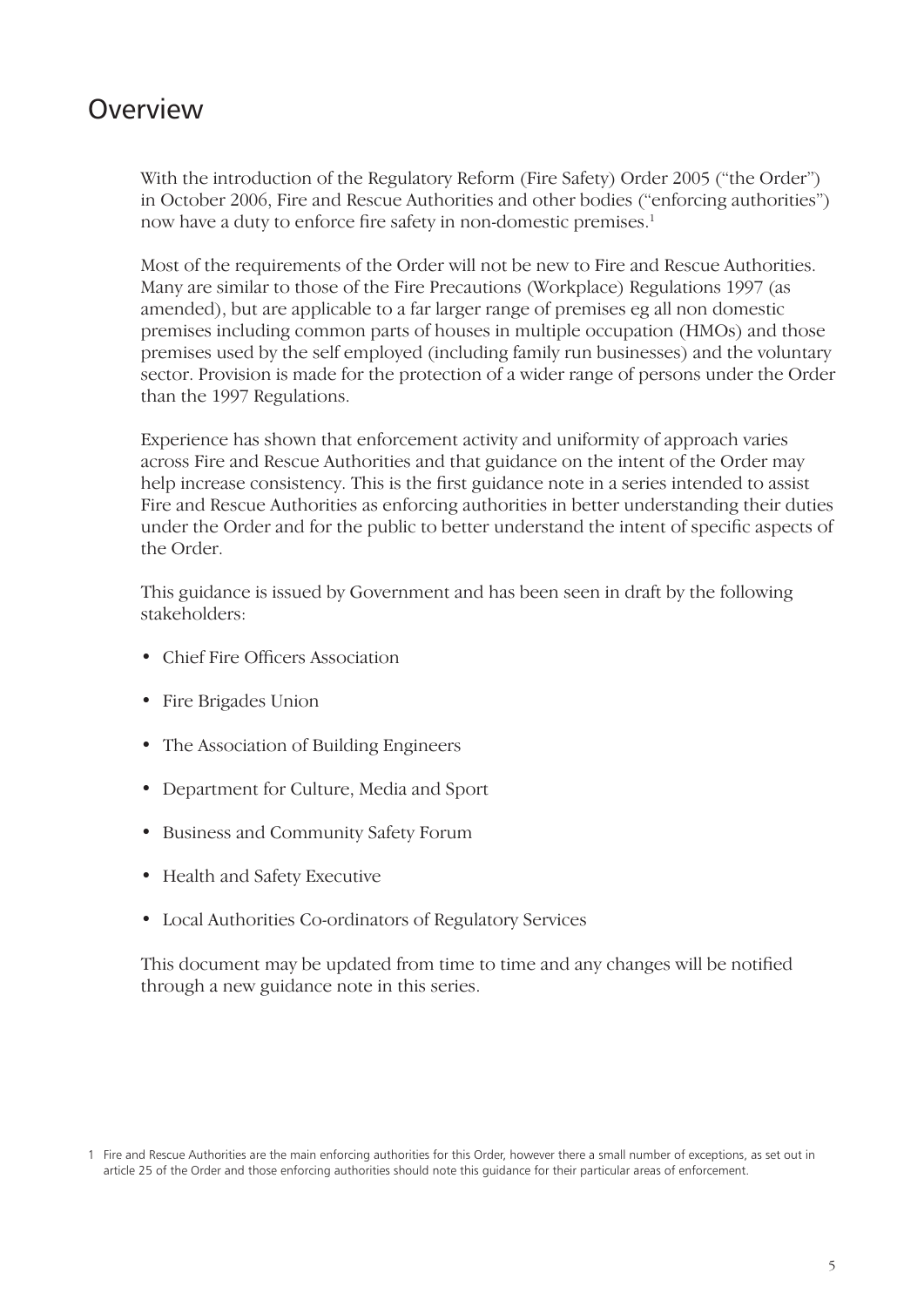# **Overview**

With the introduction of the Regulatory Reform (Fire Safety) Order 2005 ("the Order") in October 2006, Fire and Rescue Authorities and other bodies ("enforcing authorities") now have a duty to enforce fire safety in non-domestic premises.<sup>1</sup>

Most of the requirements of the Order will not be new to Fire and Rescue Authorities. Many are similar to those of the Fire Precautions (Workplace) Regulations 1997 (as amended), but are applicable to a far larger range of premises eg all non domestic premises including common parts of houses in multiple occupation (HMOs) and those premises used by the self employed (including family run businesses) and the voluntary sector. Provision is made for the protection of a wider range of persons under the Order than the 1997 Regulations.

Experience has shown that enforcement activity and uniformity of approach varies across Fire and Rescue Authorities and that guidance on the intent of the Order may help increase consistency. This is the first guidance note in a series intended to assist Fire and Rescue Authorities as enforcing authorities in better understanding their duties under the Order and for the public to better understand the intent of specific aspects of the Order.

This guidance is issued by Government and has been seen in draft by the following stakeholders:

- Chief Fire Officers Association
- Fire Brigades Union
- The Association of Building Engineers
- Department for Culture, Media and Sport •
- Business and Community Safety Forum
- Health and Safety Executive
- Local Authorities Co-ordinators of Regulatory Services •

This document may be updated from time to time and any changes will be notified through a new guidance note in this series.

<sup>1</sup> Fire and Rescue Authorities are the main enforcing authorities for this Order, however there a small number of exceptions, as set out in article 25 of the Order and those enforcing authorities should note this guidance for their particular areas of enforcement.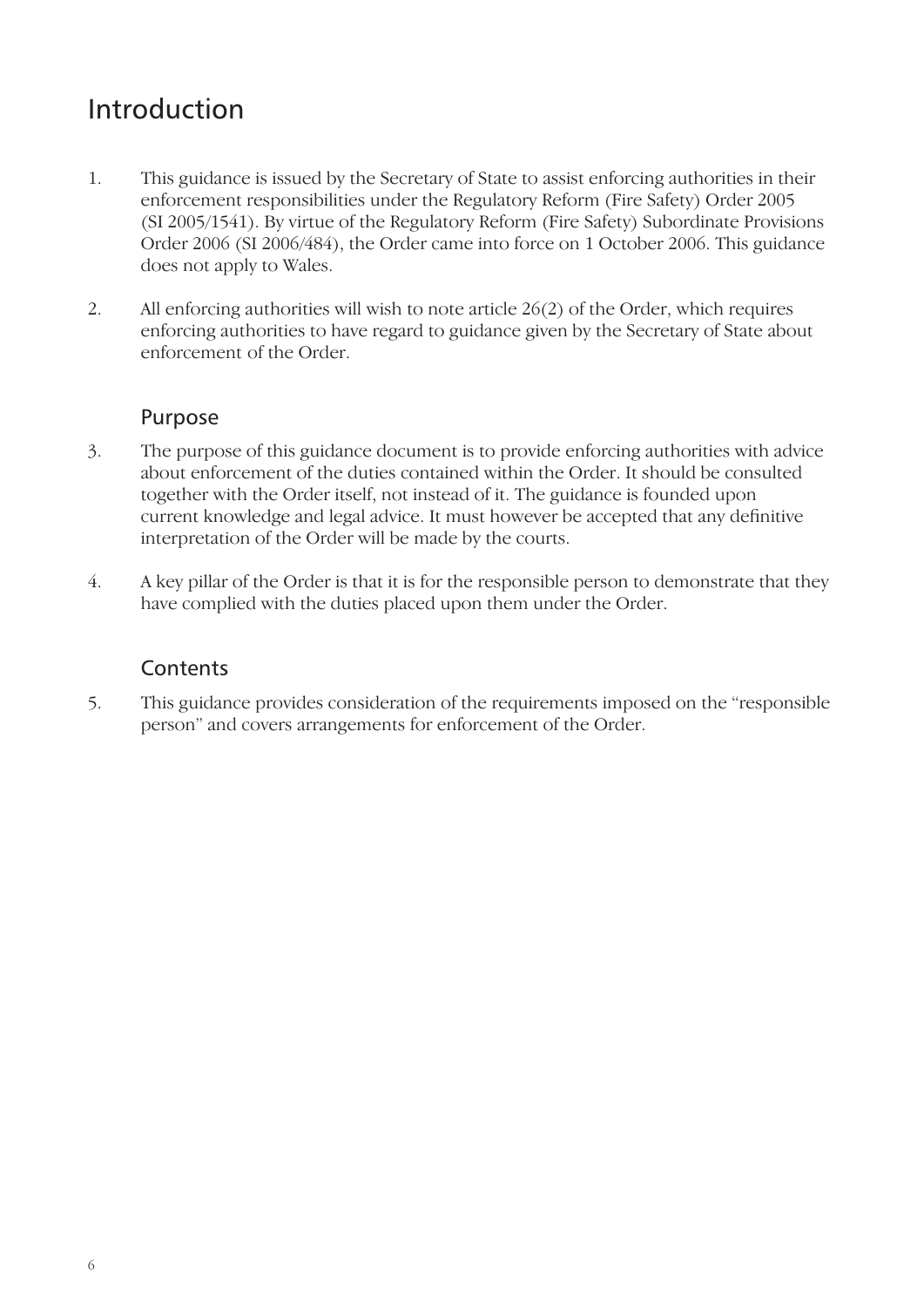# Introduction

- 1. This guidance is issued by the Secretary of State to assist enforcing authorities in their enforcement responsibilities under the Regulatory Reform (Fire Safety) Order 2005 (SI 2005/1541). By virtue of the Regulatory Reform (Fire Safety) Subordinate Provisions Order 2006 (SI 2006/484), the Order came into force on 1 October 2006. This guidance does not apply to Wales.
- 2. All enforcing authorities will wish to note article 26(2) of the Order, which requires enforcing authorities to have regard to guidance given by the Secretary of State about enforcement of the Order.

#### Purpose

- 3. The purpose of this guidance document is to provide enforcing authorities with advice about enforcement of the duties contained within the Order. It should be consulted together with the Order itself, not instead of it. The guidance is founded upon current knowledge and legal advice. It must however be accepted that any definitive interpretation of the Order will be made by the courts.
- 4. A key pillar of the Order is that it is for the responsible person to demonstrate that they have complied with the duties placed upon them under the Order.

#### **Contents**

5. This guidance provides consideration of the requirements imposed on the "responsible person" and covers arrangements for enforcement of the Order.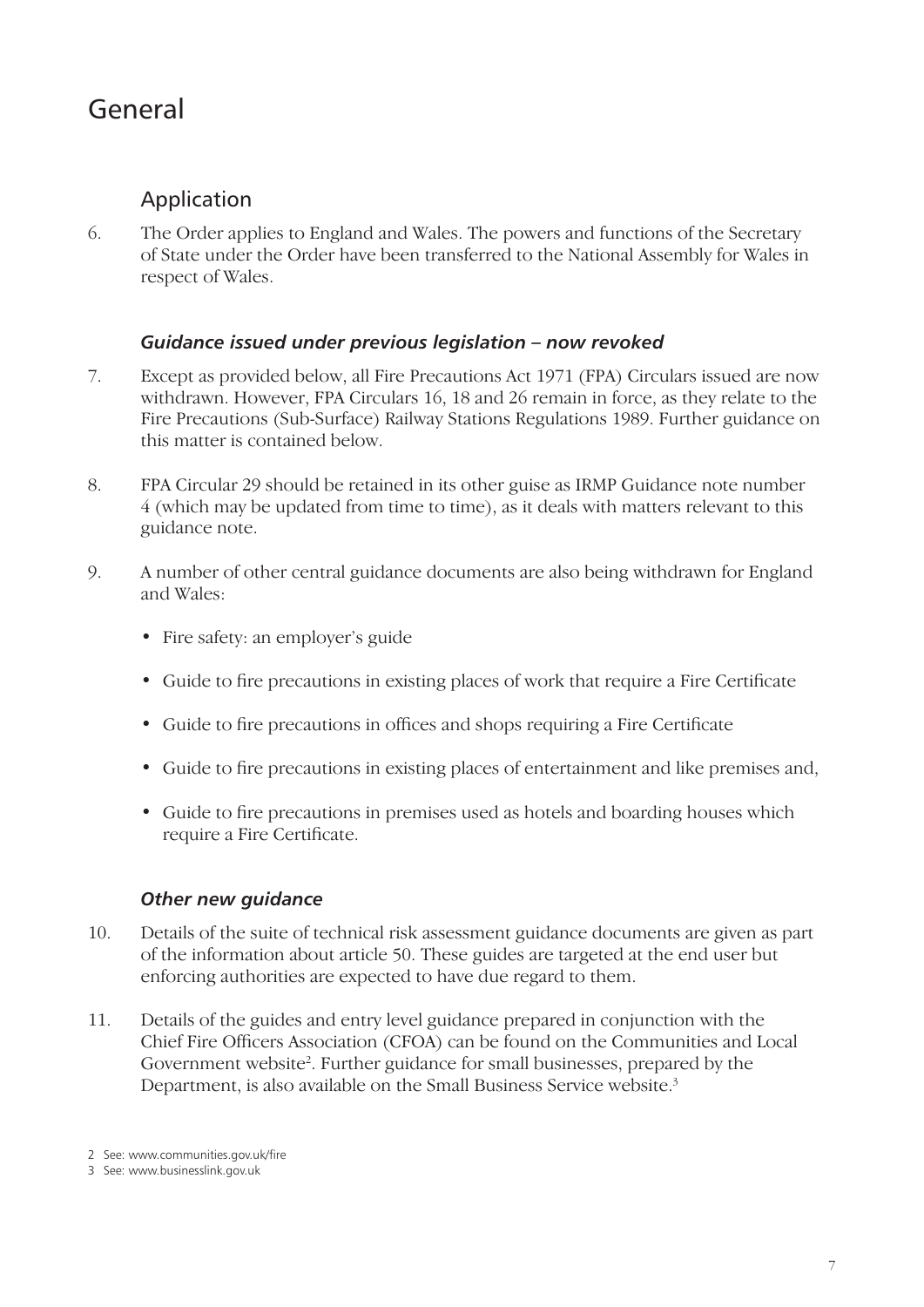# General

## Application

6. The Order applies to England and Wales. The powers and functions of the Secretary of State under the Order have been transferred to the National Assembly for Wales in respect of Wales.

#### *Guidance issued under previous legislation – now revoked*

- 7. Except as provided below, all Fire Precautions Act 1971 (FPA) Circulars issued are now withdrawn. However, FPA Circulars 16, 18 and 26 remain in force, as they relate to the Fire Precautions (Sub-Surface) Railway Stations Regulations 1989. Further guidance on this matter is contained below.
- 8. FPA Circular 29 should be retained in its other guise as IRMP Guidance note number 4 (which may be updated from time to time), as it deals with matters relevant to this guidance note.
- 9. A number of other central guidance documents are also being withdrawn for England and Wales:
	- Fire safety: an employer's guide
	- Guide to fire precautions in existing places of work that require a Fire Certificate
	- Guide to fire precautions in offices and shops requiring a Fire Certificate
	- Guide to fire precautions in existing places of entertainment and like premises and,
	- Guide to fire precautions in premises used as hotels and boarding houses which require a Fire Certificate.

#### *Other new guidance*

- 10. Details of the suite of technical risk assessment guidance documents are given as part of the information about article 50. These guides are targeted at the end user but enforcing authorities are expected to have due regard to them.
- 11. Details of the guides and entry level guidance prepared in conjunction with the Chief Fire Officers Association (CFOA) can be found on the Communities and Local Government website<sup>2</sup>. Further guidance for small businesses, prepared by the Department, is also available on the Small Business Service website.<sup>3</sup>

<sup>2</sup> See: www.communities.gov.uk/fire

<sup>3</sup> See: www.businesslink.gov.uk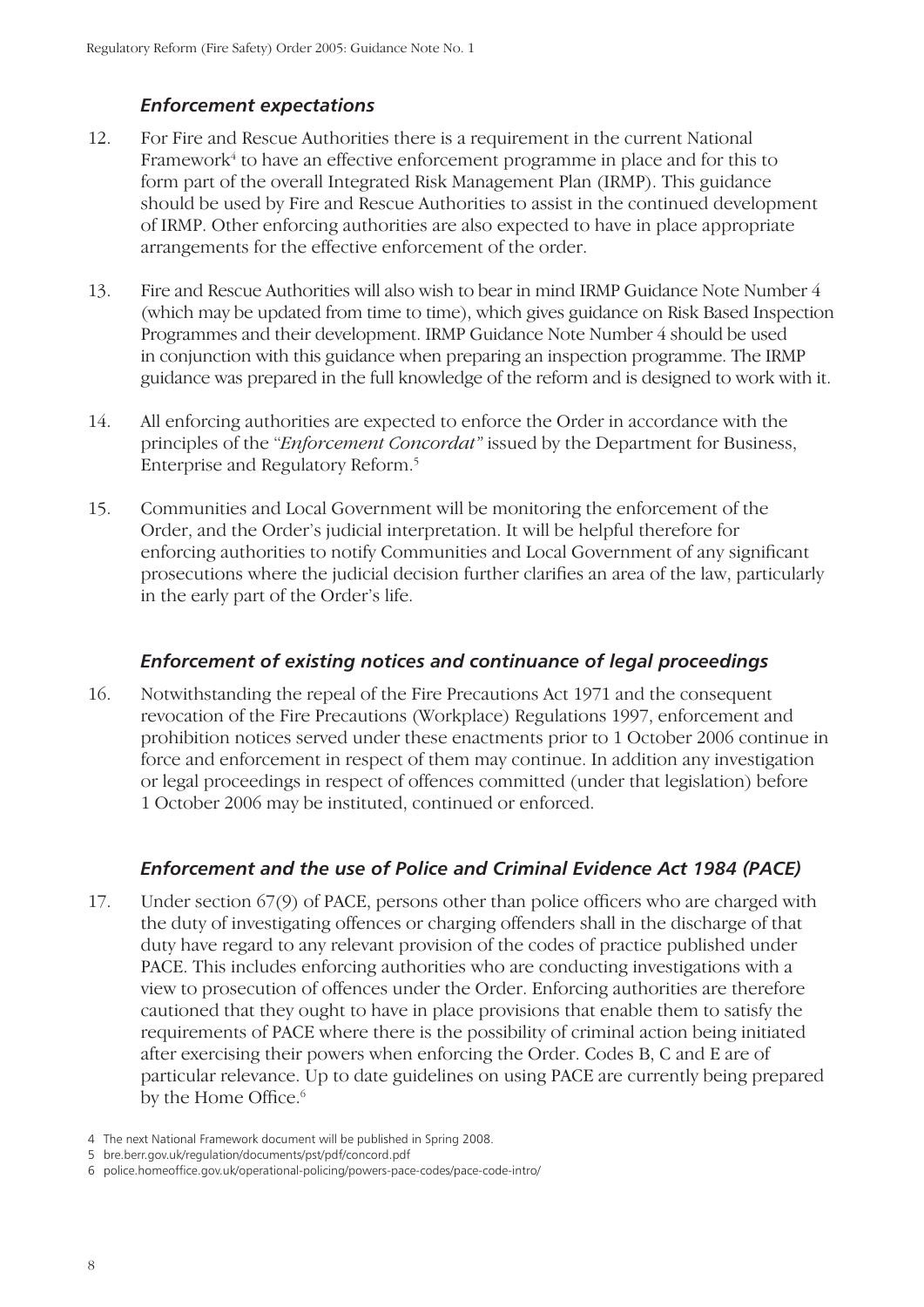#### *Enforcement expectations*

- 12. For Fire and Rescue Authorities there is a requirement in the current National Framework<sup>4</sup> to have an effective enforcement programme in place and for this to form part of the overall Integrated Risk Management Plan (IRMP). This guidance should be used by Fire and Rescue Authorities to assist in the continued development of IRMP. Other enforcing authorities are also expected to have in place appropriate arrangements for the effective enforcement of the order.
- 13. Fire and Rescue Authorities will also wish to bear in mind IRMP Guidance Note Number 4 (which may be updated from time to time), which gives guidance on Risk Based Inspection Programmes and their development. IRMP Guidance Note Number 4 should be used in conjunction with this guidance when preparing an inspection programme. The IRMP guidance was prepared in the full knowledge of the reform and is designed to work with it.
- 14. All enforcing authorities are expected to enforce the Order in accordance with the principles of the "*Enforcement Concordat"* issued by the Department for Business, Enterprise and Regulatory Reform.5
- 15. Communities and Local Government will be monitoring the enforcement of the Order, and the Order's judicial interpretation. It will be helpful therefore for enforcing authorities to notify Communities and Local Government of any significant prosecutions where the judicial decision further clarifies an area of the law, particularly in the early part of the Order's life.

#### *Enforcement of existing notices and continuance of legal proceedings*

16. Notwithstanding the repeal of the Fire Precautions Act 1971 and the consequent revocation of the Fire Precautions (Workplace) Regulations 1997, enforcement and prohibition notices served under these enactments prior to 1 October 2006 continue in force and enforcement in respect of them may continue. In addition any investigation or legal proceedings in respect of offences committed (under that legislation) before 1 October 2006 may be instituted, continued or enforced.

#### *Enforcement and the use of Police and Criminal Evidence Act 1984 (PACE)*

- 17. Under section  $67(9)$  of PACE, persons other than police officers who are charged with the duty of investigating offences or charging offenders shall in the discharge of that duty have regard to any relevant provision of the codes of practice published under PACE. This includes enforcing authorities who are conducting investigations with a view to prosecution of offences under the Order. Enforcing authorities are therefore cautioned that they ought to have in place provisions that enable them to satisfy the requirements of PACE where there is the possibility of criminal action being initiated after exercising their powers when enforcing the Order. Codes B, C and E are of particular relevance. Up to date guidelines on using PACE are currently being prepared by the Home Office.<sup>6</sup>
- 4 The next National Framework document will be published in Spring 2008.
- 5 bre.berr.gov.uk/regulation/documents/pst/pdf/concord.pdf
- 6 police.homeoffice.gov.uk/operational-policing/powers-pace-codes/pace-code-intro/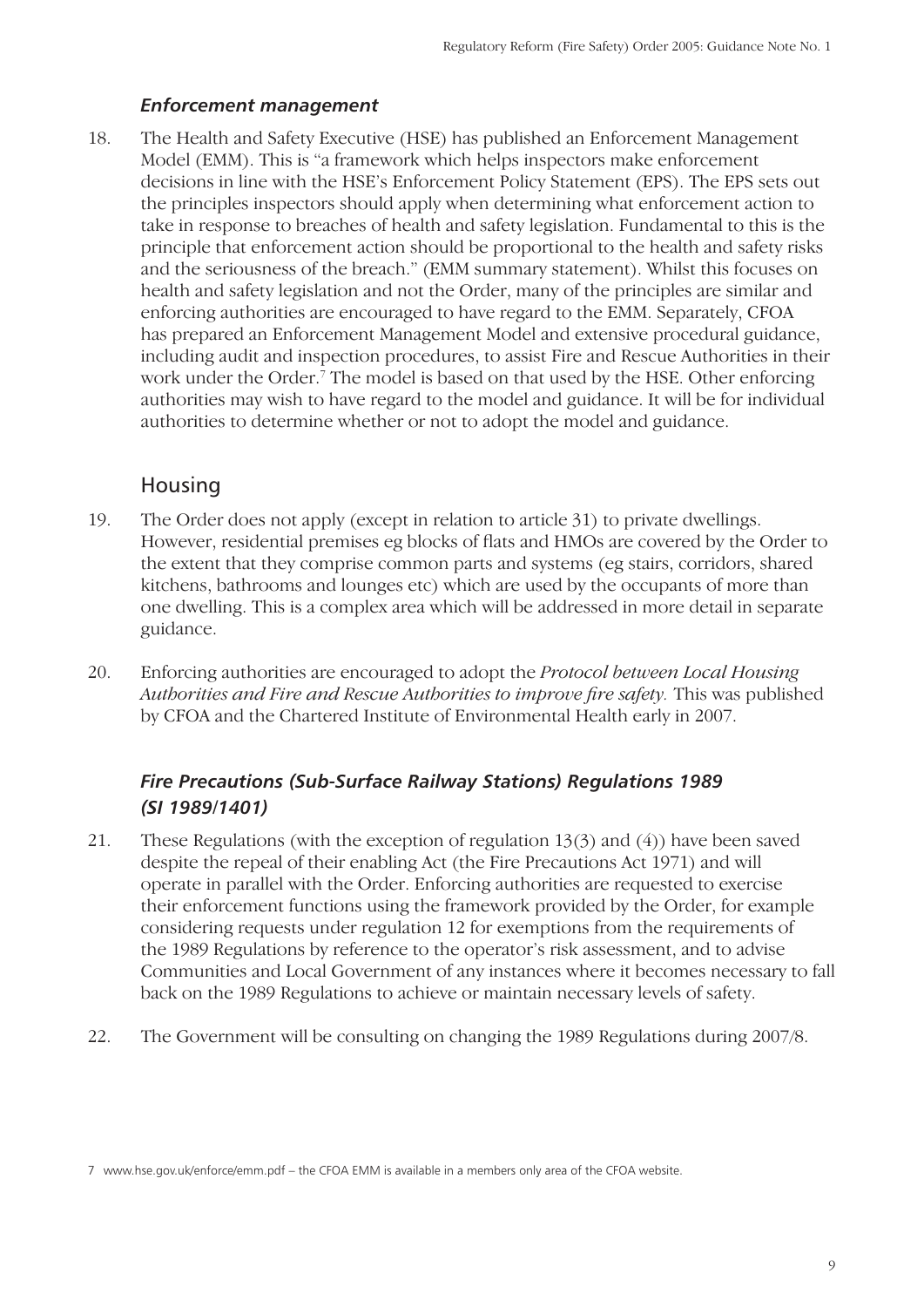#### *Enforcement management*

18. The Health and Safety Executive (HSE) has published an Enforcement Management Model (EMM). This is "a framework which helps inspectors make enforcement decisions in line with the HSE's Enforcement Policy Statement (EPS). The EPS sets out the principles inspectors should apply when determining what enforcement action to take in response to breaches of health and safety legislation. Fundamental to this is the principle that enforcement action should be proportional to the health and safety risks and the seriousness of the breach." (EMM summary statement). Whilst this focuses on health and safety legislation and not the Order, many of the principles are similar and enforcing authorities are encouraged to have regard to the EMM. Separately, CFOA has prepared an Enforcement Management Model and extensive procedural guidance, including audit and inspection procedures, to assist Fire and Rescue Authorities in their work under the Order.<sup>7</sup> The model is based on that used by the HSE. Other enforcing authorities may wish to have regard to the model and guidance. It will be for individual authorities to determine whether or not to adopt the model and guidance.

#### **Housing**

- 19. The Order does not apply (except in relation to article 31) to private dwellings. However, residential premises eg blocks of flats and HMOs are covered by the Order to the extent that they comprise common parts and systems (eg stairs, corridors, shared kitchens, bathrooms and lounges etc) which are used by the occupants of more than one dwelling. This is a complex area which will be addressed in more detail in separate guidance.
- 20. Enforcing authorities are encouraged to adopt the *Protocol between Local Housing Authorities and Fire and Rescue Authorities to improve fire safety. This was published* by CFOA and the Chartered Institute of Environmental Health early in 2007.

#### *Fire Precautions (Sub-Surface Railway Stations) Regulations 1989 (SI 1989/1401)*

- 21. These Regulations (with the exception of regulation 13(3) and (4)) have been saved despite the repeal of their enabling Act (the Fire Precautions Act 1971) and will operate in parallel with the Order. Enforcing authorities are requested to exercise their enforcement functions using the framework provided by the Order, for example considering requests under regulation 12 for exemptions from the requirements of the 1989 Regulations by reference to the operator's risk assessment, and to advise Communities and Local Government of any instances where it becomes necessary to fall back on the 1989 Regulations to achieve or maintain necessary levels of safety.
- 22. The Government will be consulting on changing the 1989 Regulations during 2007/8.

<sup>7</sup> www.hse.gov.uk/enforce/emm.pdf – the CFOA EMM is available in a members only area of the CFOA website.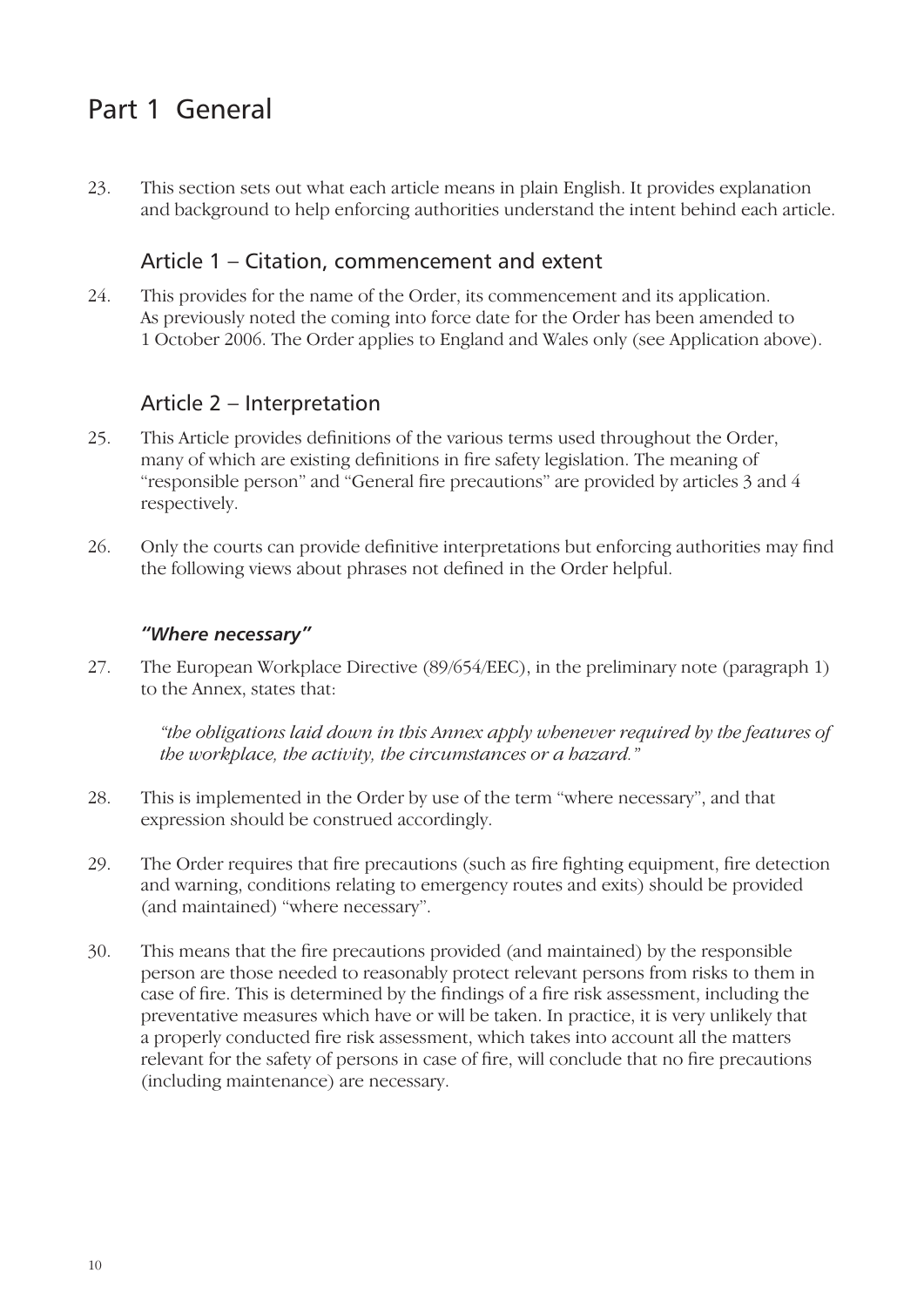# Part 1 General

23. This section sets out what each article means in plain English. It provides explanation and background to help enforcing authorities understand the intent behind each article.

#### Article 1 – Citation, commencement and extent

24. This provides for the name of the Order, its commencement and its application. As previously noted the coming into force date for the Order has been amended to 1 October 2006. The Order applies to England and Wales only (see Application above).

#### Article 2 – Interpretation

- 25. This Article provides definitions of the various terms used throughout the Order, many of which are existing definitions in fire safety legislation. The meaning of "responsible person" and "General fire precautions" are provided by articles 3 and 4 respectively.
- 26. Only the courts can provide definitive interpretations but enforcing authorities may find the following views about phrases not defined in the Order helpful.

#### *"Where necessary"*

27. The European Workplace Directive (89/654/EEC), in the preliminary note (paragraph 1) to the Annex, states that:

*"the obligations laid down in this Annex apply whenever required by the features of the workplace, the activity, the circumstances or a hazard."*

- 28. This is implemented in the Order by use of the term "where necessary", and that expression should be construed accordingly.
- 29. The Order requires that fire precautions (such as fire fighting equipment, fire detection and warning, conditions relating to emergency routes and exits) should be provided (and maintained) "where necessary".
- 30. This means that the fire precautions provided (and maintained) by the responsible person are those needed to reasonably protect relevant persons from risks to them in case of fire. This is determined by the findings of a fire risk assessment, including the preventative measures which have or will be taken. In practice, it is very unlikely that a properly conducted fire risk assessment, which takes into account all the matters relevant for the safety of persons in case of fire, will conclude that no fire precautions (including maintenance) are necessary.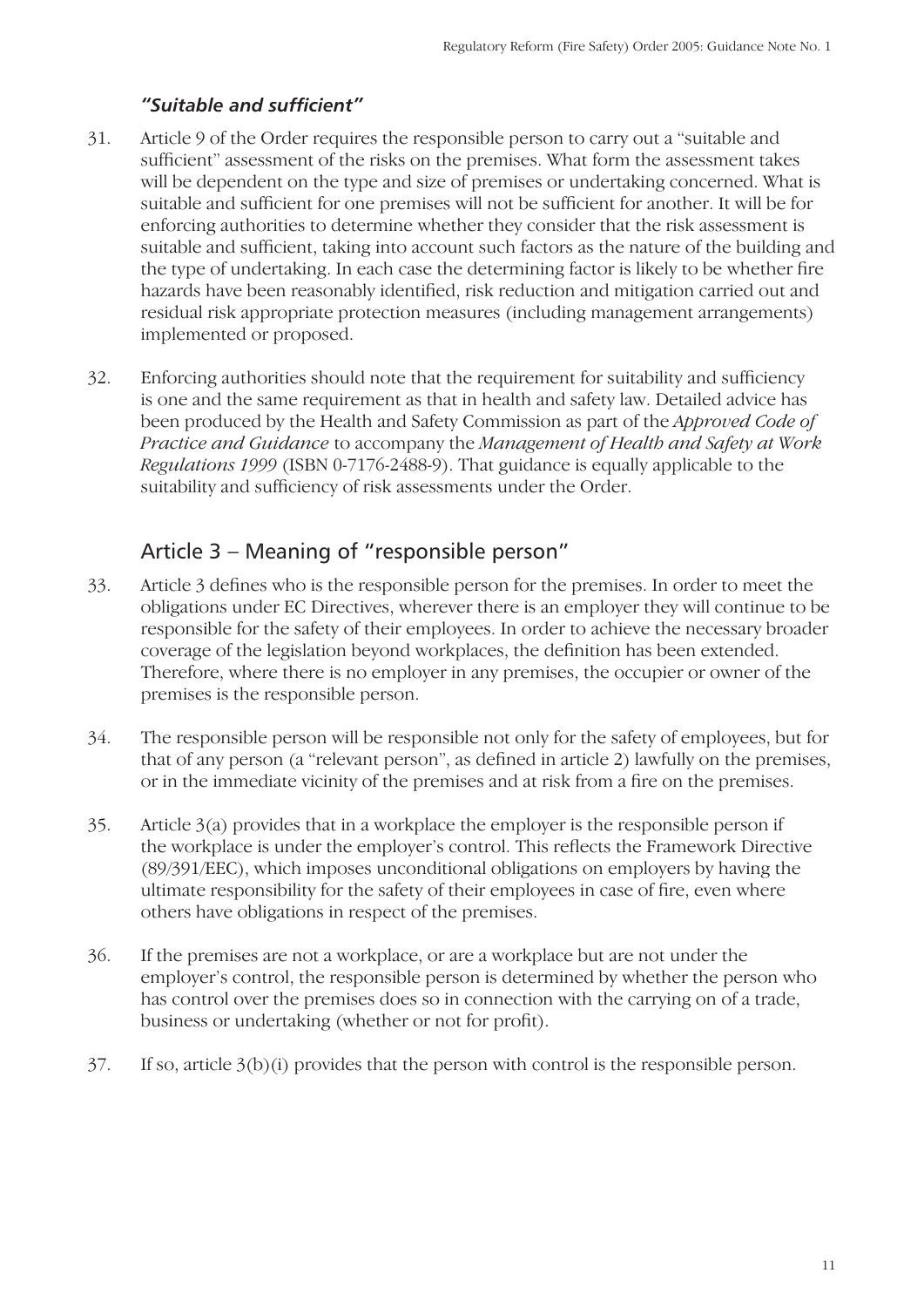#### *"Suitable and suffi cient"*

- 31. Article 9 of the Order requires the responsible person to carry out a "suitable and sufficient" assessment of the risks on the premises. What form the assessment takes will be dependent on the type and size of premises or undertaking concerned. What is suitable and sufficient for one premises will not be sufficient for another. It will be for enforcing authorities to determine whether they consider that the risk assessment is suitable and sufficient, taking into account such factors as the nature of the building and the type of undertaking. In each case the determining factor is likely to be whether fire hazards have been reasonably identified, risk reduction and mitigation carried out and residual risk appropriate protection measures (including management arrangements) implemented or proposed.
- 32. Enforcing authorities should note that the requirement for suitability and sufficiency is one and the same requirement as that in health and safety law. Detailed advice has been produced by the Health and Safety Commission as part of the *Approved Code of Practice and Guidance* to accompany the *Management of Health and Safety at Work Regulations 1999* (ISBN 0-7176-2488-9). That guidance is equally applicable to the suitability and sufficiency of risk assessments under the Order.

#### Article 3 – Meaning of "responsible person"

- 33. Article 3 defines who is the responsible person for the premises. In order to meet the obligations under EC Directives, wherever there is an employer they will continue to be responsible for the safety of their employees. In order to achieve the necessary broader coverage of the legislation beyond workplaces, the definition has been extended. Therefore, where there is no employer in any premises, the occupier or owner of the premises is the responsible person.
- 34. The responsible person will be responsible not only for the safety of employees, but for that of any person (a "relevant person", as defined in article 2) lawfully on the premises, or in the immediate vicinity of the premises and at risk from a fire on the premises.
- 35. Article 3(a) provides that in a workplace the employer is the responsible person if the workplace is under the employer's control. This reflects the Framework Directive (89/391/EEC), which imposes unconditional obligations on employers by having the ultimate responsibility for the safety of their employees in case of fire, even where others have obligations in respect of the premises.
- 36. If the premises are not a workplace, or are a workplace but are not under the employer's control, the responsible person is determined by whether the person who has control over the premises does so in connection with the carrying on of a trade, business or undertaking (whether or not for profit).
- 37. If so, article 3(b)(i) provides that the person with control is the responsible person.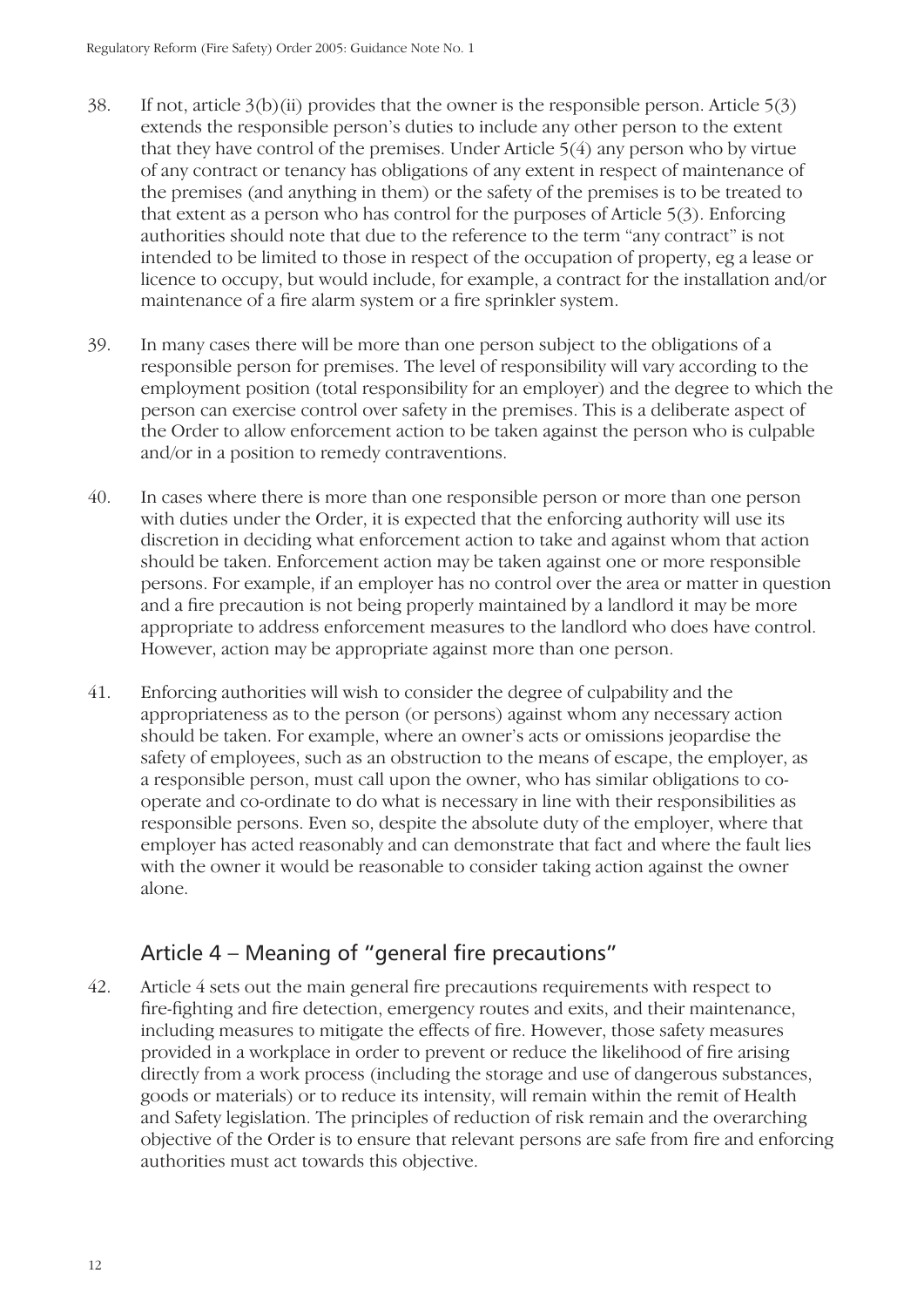- 38. If not, article  $3(b)(ii)$  provides that the owner is the responsible person. Article  $5(3)$ extends the responsible person's duties to include any other person to the extent that they have control of the premises. Under Article 5(4) any person who by virtue of any contract or tenancy has obligations of any extent in respect of maintenance of the premises (and anything in them) or the safety of the premises is to be treated to that extent as a person who has control for the purposes of Article 5(3). Enforcing authorities should note that due to the reference to the term "any contract" is not intended to be limited to those in respect of the occupation of property, eg a lease or licence to occupy, but would include, for example, a contract for the installation and/or maintenance of a fire alarm system or a fire sprinkler system.
- 39. In many cases there will be more than one person subject to the obligations of a responsible person for premises. The level of responsibility will vary according to the employment position (total responsibility for an employer) and the degree to which the person can exercise control over safety in the premises. This is a deliberate aspect of the Order to allow enforcement action to be taken against the person who is culpable and/or in a position to remedy contraventions.
- 40. In cases where there is more than one responsible person or more than one person with duties under the Order, it is expected that the enforcing authority will use its discretion in deciding what enforcement action to take and against whom that action should be taken. Enforcement action may be taken against one or more responsible persons. For example, if an employer has no control over the area or matter in question and a fire precaution is not being properly maintained by a landlord it may be more appropriate to address enforcement measures to the landlord who does have control. However, action may be appropriate against more than one person.
- 41. Enforcing authorities will wish to consider the degree of culpability and the appropriateness as to the person (or persons) against whom any necessary action should be taken. For example, where an owner's acts or omissions jeopardise the safety of employees, such as an obstruction to the means of escape, the employer, as a responsible person, must call upon the owner, who has similar obligations to cooperate and co-ordinate to do what is necessary in line with their responsibilities as responsible persons. Even so, despite the absolute duty of the employer, where that employer has acted reasonably and can demonstrate that fact and where the fault lies with the owner it would be reasonable to consider taking action against the owner alone.

## Article 4 – Meaning of "general fire precautions"

42. Article 4 sets out the main general fire precautions requirements with respect to fire-fighting and fire detection, emergency routes and exits, and their maintenance, including measures to mitigate the effects of fire. However, those safety measures provided in a workplace in order to prevent or reduce the likelihood of fire arising directly from a work process (including the storage and use of dangerous substances, goods or materials) or to reduce its intensity, will remain within the remit of Health and Safety legislation. The principles of reduction of risk remain and the overarching objective of the Order is to ensure that relevant persons are safe from fire and enforcing authorities must act towards this objective.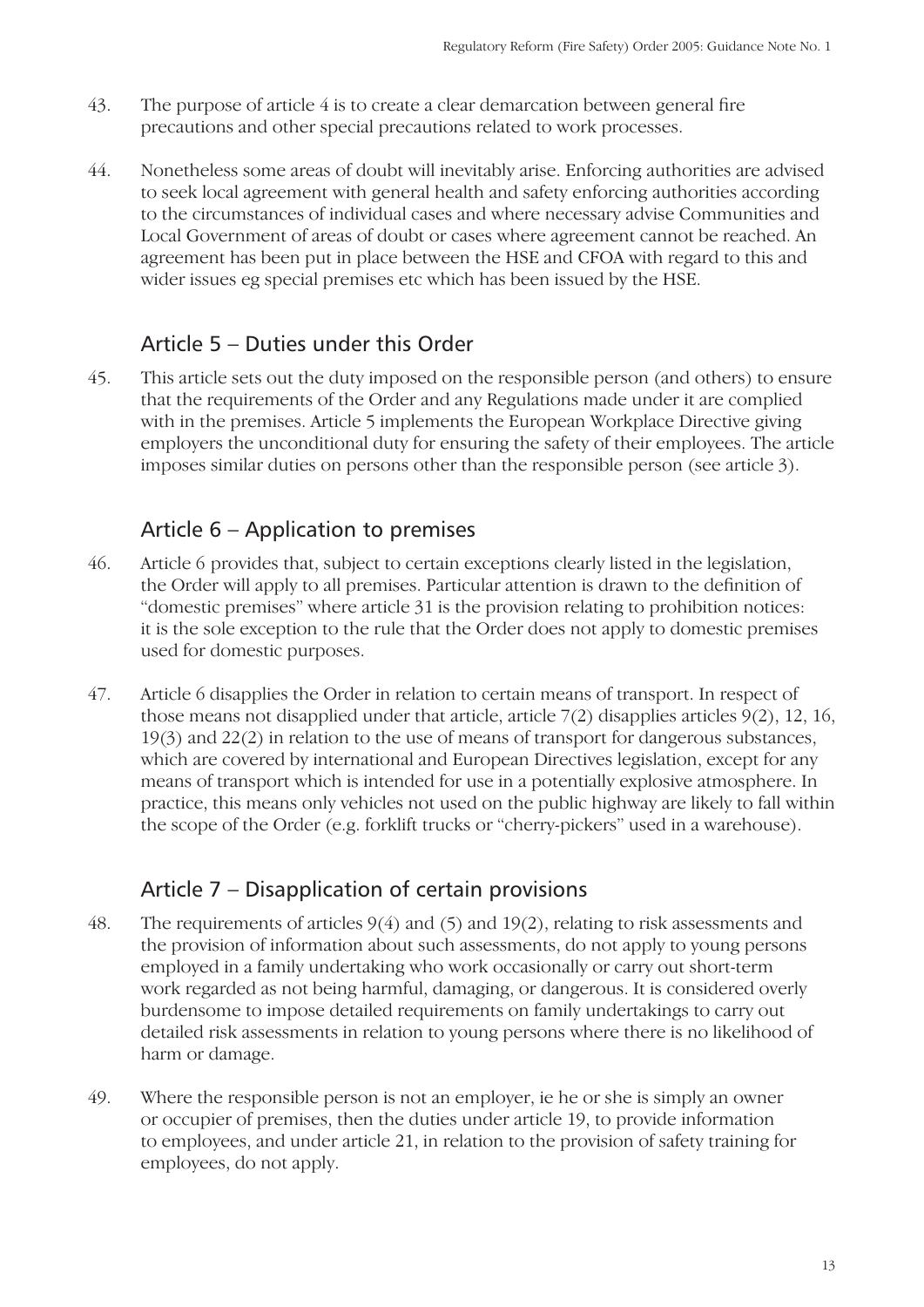- 43. The purpose of article 4 is to create a clear demarcation between general fire precautions and other special precautions related to work processes.
- 44. Nonetheless some areas of doubt will inevitably arise. Enforcing authorities are advised to seek local agreement with general health and safety enforcing authorities according to the circumstances of individual cases and where necessary advise Communities and Local Government of areas of doubt or cases where agreement cannot be reached. An agreement has been put in place between the HSE and CFOA with regard to this and wider issues eg special premises etc which has been issued by the HSE.

## Article 5 – Duties under this Order

45. This article sets out the duty imposed on the responsible person (and others) to ensure that the requirements of the Order and any Regulations made under it are complied with in the premises. Article 5 implements the European Workplace Directive giving employers the unconditional duty for ensuring the safety of their employees. The article imposes similar duties on persons other than the responsible person (see article 3).

#### Article 6 – Application to premises

- 46. Article 6 provides that, subject to certain exceptions clearly listed in the legislation, the Order will apply to all premises. Particular attention is drawn to the definition of "domestic premises" where article 31 is the provision relating to prohibition notices: it is the sole exception to the rule that the Order does not apply to domestic premises used for domestic purposes.
- 47. Article 6 disapplies the Order in relation to certain means of transport. In respect of those means not disapplied under that article, article 7(2) disapplies articles 9(2), 12, 16, 19(3) and 22(2) in relation to the use of means of transport for dangerous substances, which are covered by international and European Directives legislation, except for any means of transport which is intended for use in a potentially explosive atmosphere. In practice, this means only vehicles not used on the public highway are likely to fall within the scope of the Order (e.g. forklift trucks or "cherry-pickers" used in a warehouse).

## Article 7 – Disapplication of certain provisions

- 48. The requirements of articles 9(4) and (5) and 19(2), relating to risk assessments and the provision of information about such assessments, do not apply to young persons employed in a family undertaking who work occasionally or carry out short-term work regarded as not being harmful, damaging, or dangerous. It is considered overly burdensome to impose detailed requirements on family undertakings to carry out detailed risk assessments in relation to young persons where there is no likelihood of harm or damage.
- 49. Where the responsible person is not an employer, ie he or she is simply an owner or occupier of premises, then the duties under article 19, to provide information to employees, and under article 21, in relation to the provision of safety training for employees, do not apply.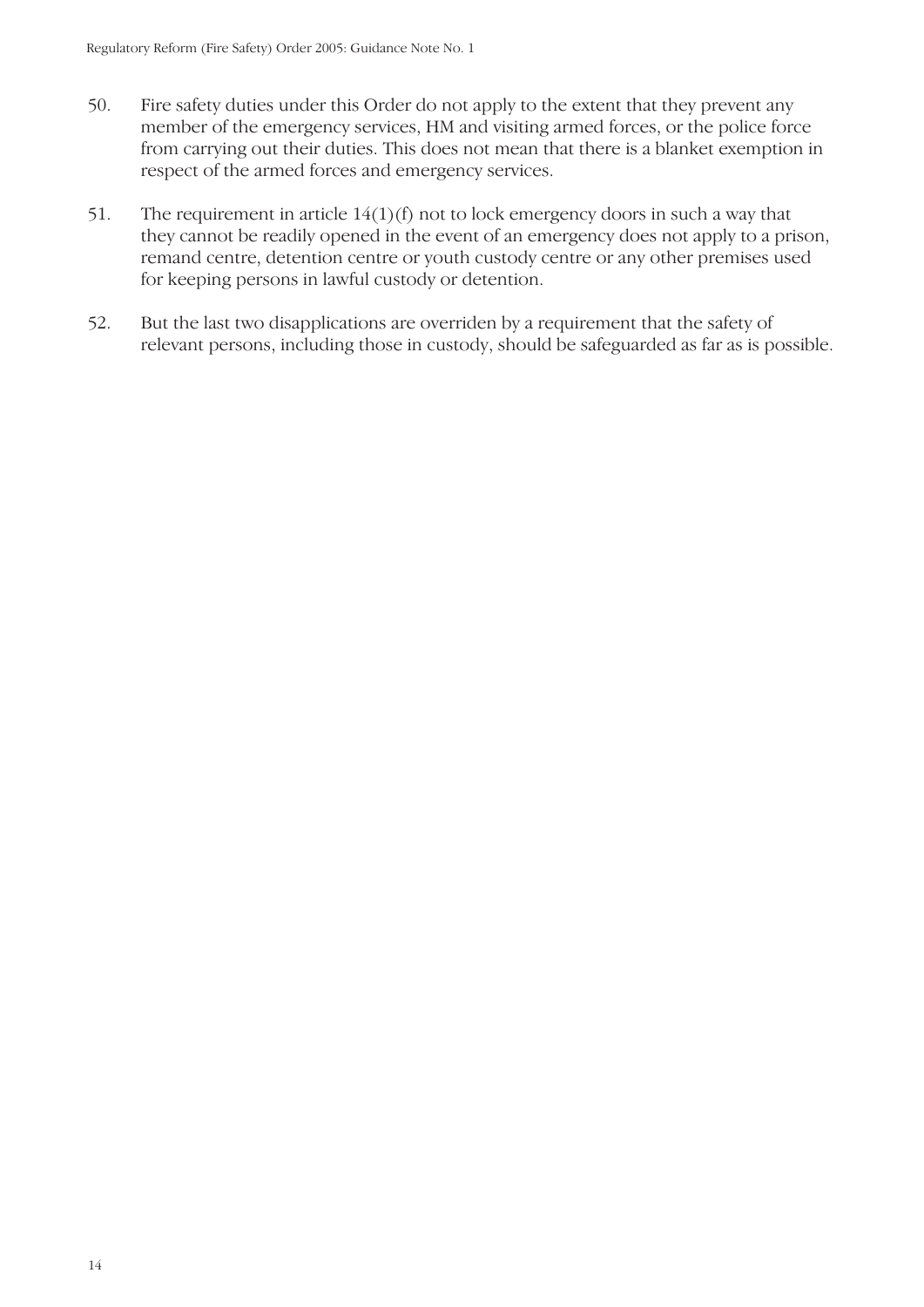- 50. Fire safety duties under this Order do not apply to the extent that they prevent any member of the emergency services, HM and visiting armed forces, or the police force from carrying out their duties. This does not mean that there is a blanket exemption in respect of the armed forces and emergency services.
- 51. The requirement in article 14(1)(f) not to lock emergency doors in such a way that they cannot be readily opened in the event of an emergency does not apply to a prison, remand centre, detention centre or youth custody centre or any other premises used for keeping persons in lawful custody or detention.
- 52. But the last two disapplications are overriden by a requirement that the safety of relevant persons, including those in custody, should be safeguarded as far as is possible.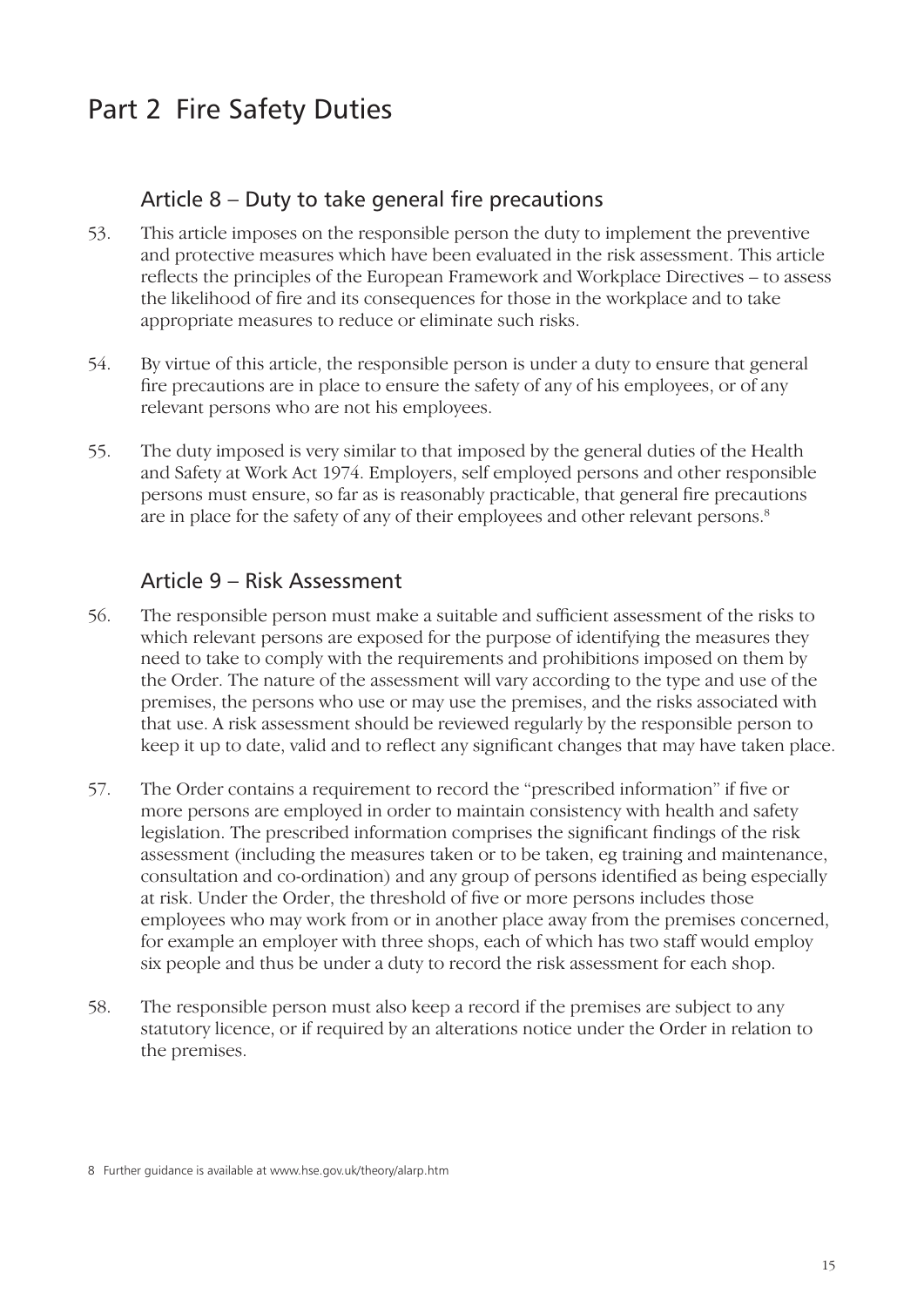# Part 2 Fire Safety Duties

#### Article  $8 -$  Duty to take general fire precautions

- 53. This article imposes on the responsible person the duty to implement the preventive and protective measures which have been evaluated in the risk assessment. This article reflects the principles of the European Framework and Workplace Directives – to assess the likelihood of fire and its consequences for those in the workplace and to take appropriate measures to reduce or eliminate such risks.
- 54. By virtue of this article, the responsible person is under a duty to ensure that general fire precautions are in place to ensure the safety of any of his employees, or of any relevant persons who are not his employees.
- 55. The duty imposed is very similar to that imposed by the general duties of the Health and Safety at Work Act 1974. Employers, self employed persons and other responsible persons must ensure, so far as is reasonably practicable, that general fire precautions are in place for the safety of any of their employees and other relevant persons.<sup>8</sup>

#### Article 9 – Risk Assessment

- 56. The responsible person must make a suitable and sufficient assessment of the risks to which relevant persons are exposed for the purpose of identifying the measures they need to take to comply with the requirements and prohibitions imposed on them by the Order. The nature of the assessment will vary according to the type and use of the premises, the persons who use or may use the premises, and the risks associated with that use. A risk assessment should be reviewed regularly by the responsible person to keep it up to date, valid and to reflect any significant changes that may have taken place.
- 57. The Order contains a requirement to record the "prescribed information" if five or more persons are employed in order to maintain consistency with health and safety legislation. The prescribed information comprises the significant findings of the risk assessment (including the measures taken or to be taken, eg training and maintenance, consultation and co-ordination) and any group of persons identified as being especially at risk. Under the Order, the threshold of five or more persons includes those employees who may work from or in another place away from the premises concerned, for example an employer with three shops, each of which has two staff would employ six people and thus be under a duty to record the risk assessment for each shop.
- 58. The responsible person must also keep a record if the premises are subject to any statutory licence, or if required by an alterations notice under the Order in relation to the premises.

<sup>8</sup> Further guidance is available at www.hse.gov.uk/theory/alarp.htm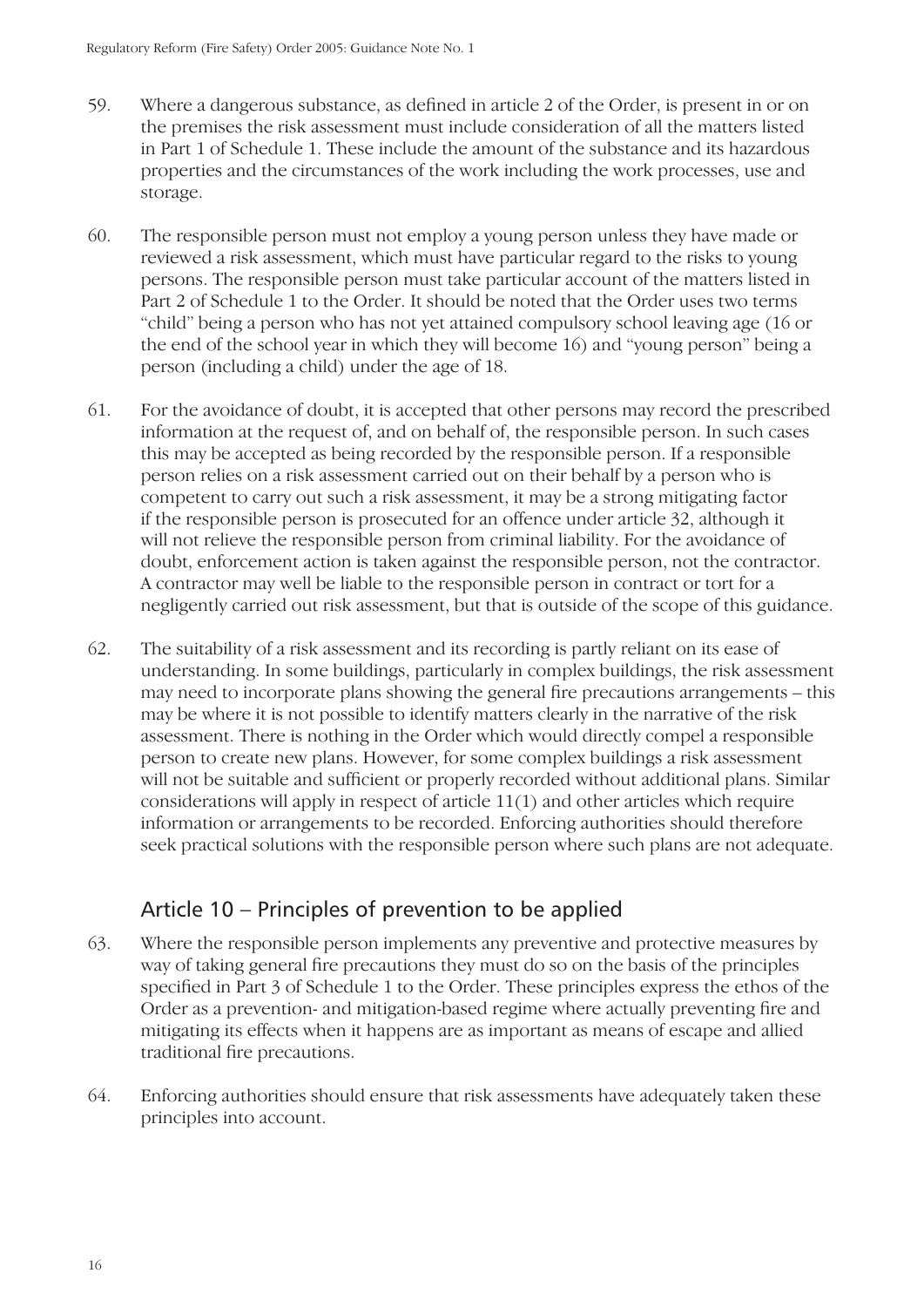- 59. Where a dangerous substance, as defined in article 2 of the Order, is present in or on the premises the risk assessment must include consideration of all the matters listed in Part 1 of Schedule 1. These include the amount of the substance and its hazardous properties and the circumstances of the work including the work processes, use and storage.
- 60. The responsible person must not employ a young person unless they have made or reviewed a risk assessment, which must have particular regard to the risks to young persons. The responsible person must take particular account of the matters listed in Part 2 of Schedule 1 to the Order. It should be noted that the Order uses two terms "child" being a person who has not yet attained compulsory school leaving age (16 or the end of the school year in which they will become 16) and "young person" being a person (including a child) under the age of 18.
- 61. For the avoidance of doubt, it is accepted that other persons may record the prescribed information at the request of, and on behalf of, the responsible person. In such cases this may be accepted as being recorded by the responsible person. If a responsible person relies on a risk assessment carried out on their behalf by a person who is competent to carry out such a risk assessment, it may be a strong mitigating factor if the responsible person is prosecuted for an offence under article 32, although it will not relieve the responsible person from criminal liability. For the avoidance of doubt, enforcement action is taken against the responsible person, not the contractor. A contractor may well be liable to the responsible person in contract or tort for a negligently carried out risk assessment, but that is outside of the scope of this guidance.
- 62. The suitability of a risk assessment and its recording is partly reliant on its ease of understanding. In some buildings, particularly in complex buildings, the risk assessment may need to incorporate plans showing the general fire precautions arrangements – this may be where it is not possible to identify matters clearly in the narrative of the risk assessment. There is nothing in the Order which would directly compel a responsible person to create new plans. However, for some complex buildings a risk assessment will not be suitable and sufficient or properly recorded without additional plans. Similar considerations will apply in respect of article 11(1) and other articles which require information or arrangements to be recorded. Enforcing authorities should therefore seek practical solutions with the responsible person where such plans are not adequate.

## Article 10 – Principles of prevention to be applied

- 63. Where the responsible person implements any preventive and protective measures by way of taking general fire precautions they must do so on the basis of the principles specified in Part 3 of Schedule 1 to the Order. These principles express the ethos of the Order as a prevention- and mitigation-based regime where actually preventing fire and mitigating its effects when it happens are as important as means of escape and allied traditional fire precautions.
- 64. Enforcing authorities should ensure that risk assessments have adequately taken these principles into account.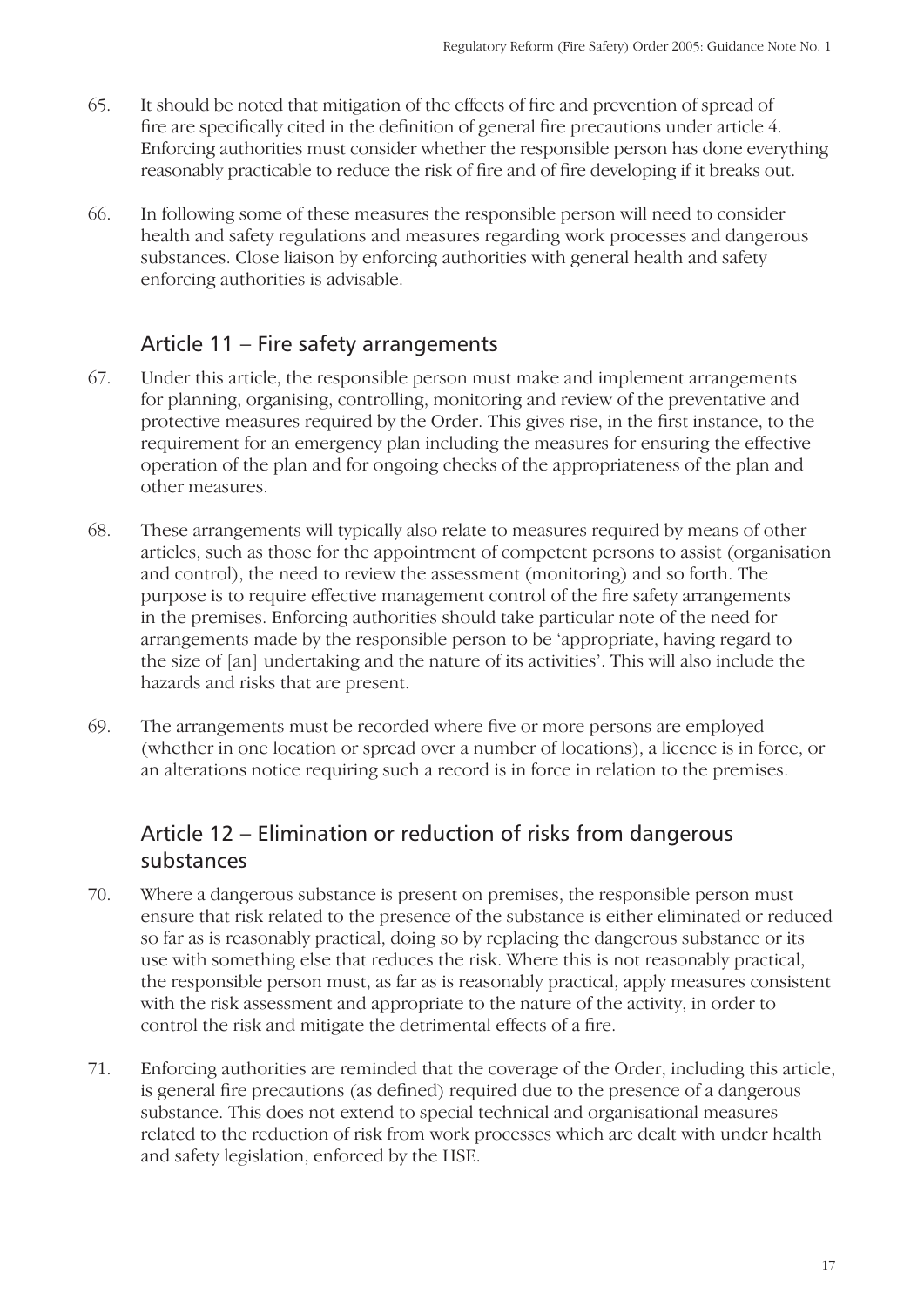- 65. It should be noted that mitigation of the effects of fire and prevention of spread of fire are specifically cited in the definition of general fire precautions under article 4. Enforcing authorities must consider whether the responsible person has done everything reasonably practicable to reduce the risk of fire and of fire developing if it breaks out.
- 66. In following some of these measures the responsible person will need to consider health and safety regulations and measures regarding work processes and dangerous substances. Close liaison by enforcing authorities with general health and safety enforcing authorities is advisable.

#### Article 11 – Fire safety arrangements

- 67. Under this article, the responsible person must make and implement arrangements for planning, organising, controlling, monitoring and review of the preventative and protective measures required by the Order. This gives rise, in the first instance, to the requirement for an emergency plan including the measures for ensuring the effective operation of the plan and for ongoing checks of the appropriateness of the plan and other measures.
- 68. These arrangements will typically also relate to measures required by means of other articles, such as those for the appointment of competent persons to assist (organisation and control), the need to review the assessment (monitoring) and so forth. The purpose is to require effective management control of the fire safety arrangements in the premises. Enforcing authorities should take particular note of the need for arrangements made by the responsible person to be 'appropriate, having regard to the size of [an] undertaking and the nature of its activities'. This will also include the hazards and risks that are present.
- 69. The arrangements must be recorded where five or more persons are employed (whether in one location or spread over a number of locations), a licence is in force, or an alterations notice requiring such a record is in force in relation to the premises.

## Article 12 – Elimination or reduction of risks from dangerous substances

- 70. Where a dangerous substance is present on premises, the responsible person must ensure that risk related to the presence of the substance is either eliminated or reduced so far as is reasonably practical, doing so by replacing the dangerous substance or its use with something else that reduces the risk. Where this is not reasonably practical, the responsible person must, as far as is reasonably practical, apply measures consistent with the risk assessment and appropriate to the nature of the activity, in order to control the risk and mitigate the detrimental effects of a fire.
- 71. Enforcing authorities are reminded that the coverage of the Order, including this article, is general fire precautions (as defined) required due to the presence of a dangerous substance. This does not extend to special technical and organisational measures related to the reduction of risk from work processes which are dealt with under health and safety legislation, enforced by the HSE.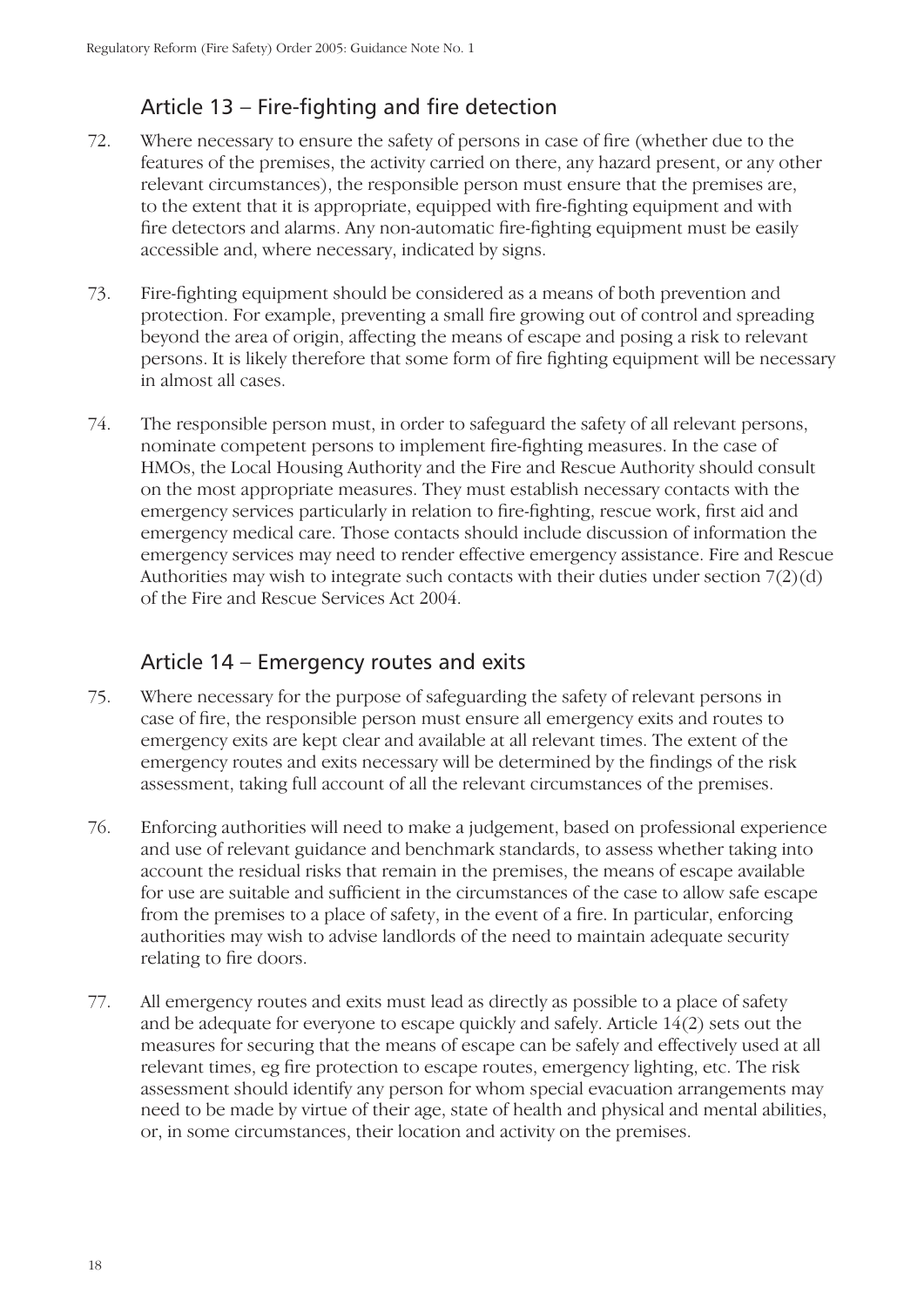# Article  $13$  – Fire-fighting and fire detection

- 72. Where necessary to ensure the safety of persons in case of fire (whether due to the features of the premises, the activity carried on there, any hazard present, or any other relevant circumstances), the responsible person must ensure that the premises are, to the extent that it is appropriate, equipped with fire-fighting equipment and with fire detectors and alarms. Any non-automatic fire-fighting equipment must be easily accessible and, where necessary, indicated by signs.
- 73. Fire-fighting equipment should be considered as a means of both prevention and protection. For example, preventing a small fire growing out of control and spreading beyond the area of origin, affecting the means of escape and posing a risk to relevant persons. It is likely therefore that some form of fire fighting equipment will be necessary in almost all cases.
- 74. The responsible person must, in order to safeguard the safety of all relevant persons, nominate competent persons to implement fire-fighting measures. In the case of HMOs, the Local Housing Authority and the Fire and Rescue Authority should consult on the most appropriate measures. They must establish necessary contacts with the emergency services particularly in relation to fire-fighting, rescue work, first aid and emergency medical care. Those contacts should include discussion of information the emergency services may need to render effective emergency assistance. Fire and Rescue Authorities may wish to integrate such contacts with their duties under section 7(2)(d) of the Fire and Rescue Services Act 2004.

#### Article 14 – Emergency routes and exits

- 75. Where necessary for the purpose of safeguarding the safety of relevant persons in case of fire, the responsible person must ensure all emergency exits and routes to emergency exits are kept clear and available at all relevant times. The extent of the emergency routes and exits necessary will be determined by the findings of the risk assessment, taking full account of all the relevant circumstances of the premises.
- 76. Enforcing authorities will need to make a judgement, based on professional experience and use of relevant guidance and benchmark standards, to assess whether taking into account the residual risks that remain in the premises, the means of escape available for use are suitable and sufficient in the circumstances of the case to allow safe escape from the premises to a place of safety, in the event of a fire. In particular, enforcing authorities may wish to advise landlords of the need to maintain adequate security relating to fire doors.
- 77. All emergency routes and exits must lead as directly as possible to a place of safety and be adequate for everyone to escape quickly and safely. Article 14(2) sets out the measures for securing that the means of escape can be safely and effectively used at all relevant times, eg fire protection to escape routes, emergency lighting, etc. The risk assessment should identify any person for whom special evacuation arrangements may need to be made by virtue of their age, state of health and physical and mental abilities, or, in some circumstances, their location and activity on the premises.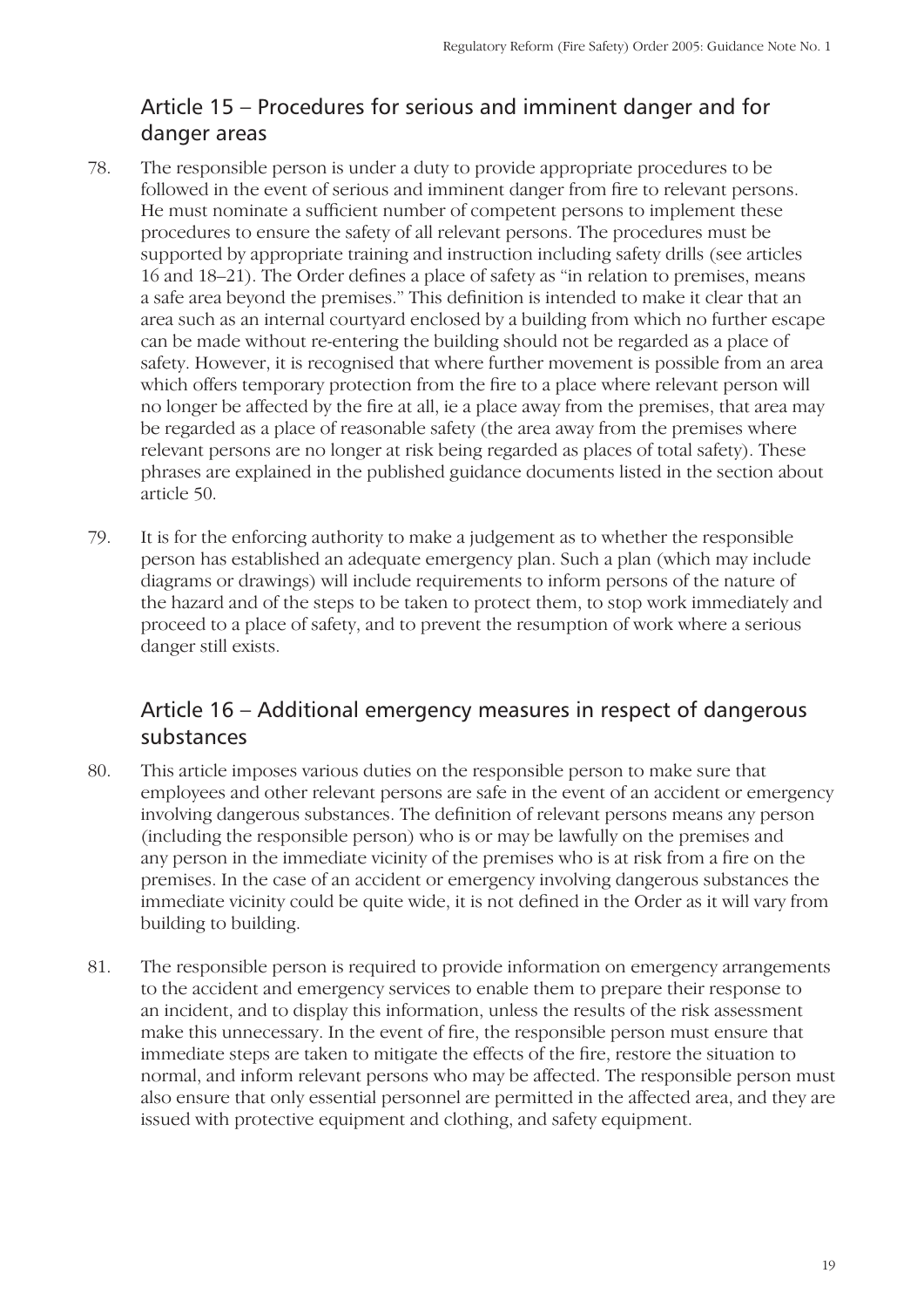# Article 15 – Procedures for serious and imminent danger and for danger areas

- 78. The responsible person is under a duty to provide appropriate procedures to be followed in the event of serious and imminent danger from fire to relevant persons. He must nominate a sufficient number of competent persons to implement these procedures to ensure the safety of all relevant persons. The procedures must be supported by appropriate training and instruction including safety drills (see articles 16 and 18–21). The Order defines a place of safety as "in relation to premises, means a safe area beyond the premises." This definition is intended to make it clear that an area such as an internal courtyard enclosed by a building from which no further escape can be made without re-entering the building should not be regarded as a place of safety. However, it is recognised that where further movement is possible from an area which offers temporary protection from the fire to a place where relevant person will no longer be affected by the fire at all, ie a place away from the premises, that area may be regarded as a place of reasonable safety (the area away from the premises where relevant persons are no longer at risk being regarded as places of total safety). These phrases are explained in the published guidance documents listed in the section about article 50.
- 79. It is for the enforcing authority to make a judgement as to whether the responsible person has established an adequate emergency plan. Such a plan (which may include diagrams or drawings) will include requirements to inform persons of the nature of the hazard and of the steps to be taken to protect them, to stop work immediately and proceed to a place of safety, and to prevent the resumption of work where a serious danger still exists.

#### Article 16 – Additional emergency measures in respect of dangerous substances

- 80. This article imposes various duties on the responsible person to make sure that employees and other relevant persons are safe in the event of an accident or emergency involving dangerous substances. The definition of relevant persons means any person (including the responsible person) who is or may be lawfully on the premises and any person in the immediate vicinity of the premises who is at risk from a fire on the premises. In the case of an accident or emergency involving dangerous substances the immediate vicinity could be quite wide, it is not defined in the Order as it will vary from building to building.
- 81. The responsible person is required to provide information on emergency arrangements to the accident and emergency services to enable them to prepare their response to an incident, and to display this information, unless the results of the risk assessment make this unnecessary. In the event of fire, the responsible person must ensure that immediate steps are taken to mitigate the effects of the fire, restore the situation to normal, and inform relevant persons who may be affected. The responsible person must also ensure that only essential personnel are permitted in the affected area, and they are issued with protective equipment and clothing, and safety equipment.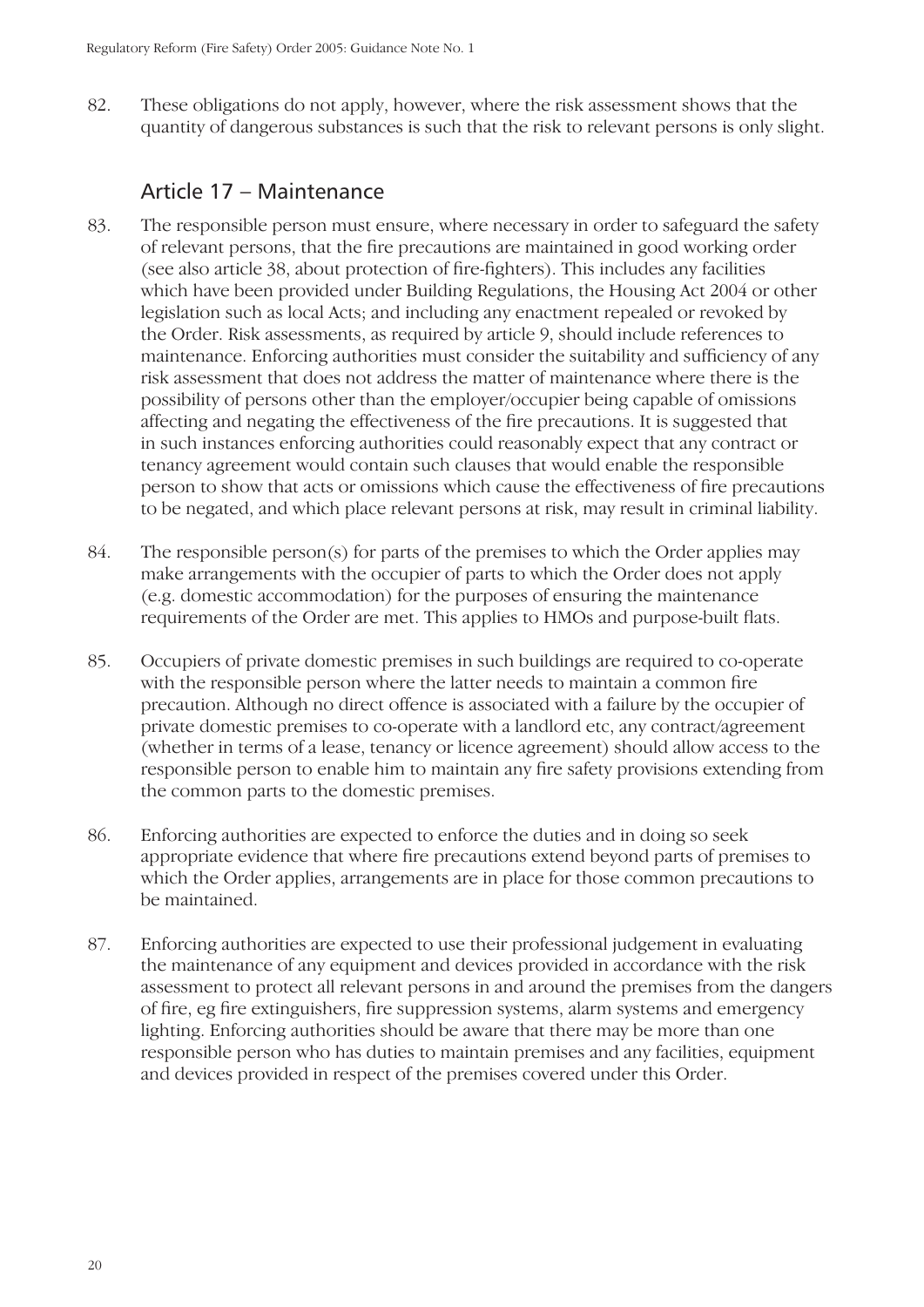82. These obligations do not apply, however, where the risk assessment shows that the quantity of dangerous substances is such that the risk to relevant persons is only slight.

#### Article 17 – Maintenance

- 83. The responsible person must ensure, where necessary in order to safeguard the safety of relevant persons, that the fire precautions are maintained in good working order (see also article 38, about protection of fire-fighters). This includes any facilities which have been provided under Building Regulations, the Housing Act 2004 or other legislation such as local Acts; and including any enactment repealed or revoked by the Order. Risk assessments, as required by article 9, should include references to maintenance. Enforcing authorities must consider the suitability and sufficiency of any risk assessment that does not address the matter of maintenance where there is the possibility of persons other than the employer/occupier being capable of omissions affecting and negating the effectiveness of the fire precautions. It is suggested that in such instances enforcing authorities could reasonably expect that any contract or tenancy agreement would contain such clauses that would enable the responsible person to show that acts or omissions which cause the effectiveness of fire precautions to be negated, and which place relevant persons at risk, may result in criminal liability.
- 84. The responsible person(s) for parts of the premises to which the Order applies may make arrangements with the occupier of parts to which the Order does not apply (e.g. domestic accommodation) for the purposes of ensuring the maintenance requirements of the Order are met. This applies to HMOs and purpose-built flats.
- 85. Occupiers of private domestic premises in such buildings are required to co-operate with the responsible person where the latter needs to maintain a common fire precaution. Although no direct offence is associated with a failure by the occupier of private domestic premises to co-operate with a landlord etc, any contract/agreement (whether in terms of a lease, tenancy or licence agreement) should allow access to the responsible person to enable him to maintain any fire safety provisions extending from the common parts to the domestic premises.
- 86. Enforcing authorities are expected to enforce the duties and in doing so seek appropriate evidence that where fire precautions extend beyond parts of premises to which the Order applies, arrangements are in place for those common precautions to be maintained.
- 87. Enforcing authorities are expected to use their professional judgement in evaluating the maintenance of any equipment and devices provided in accordance with the risk assessment to protect all relevant persons in and around the premises from the dangers of fire, eg fire extinguishers, fire suppression systems, alarm systems and emergency lighting. Enforcing authorities should be aware that there may be more than one responsible person who has duties to maintain premises and any facilities, equipment and devices provided in respect of the premises covered under this Order.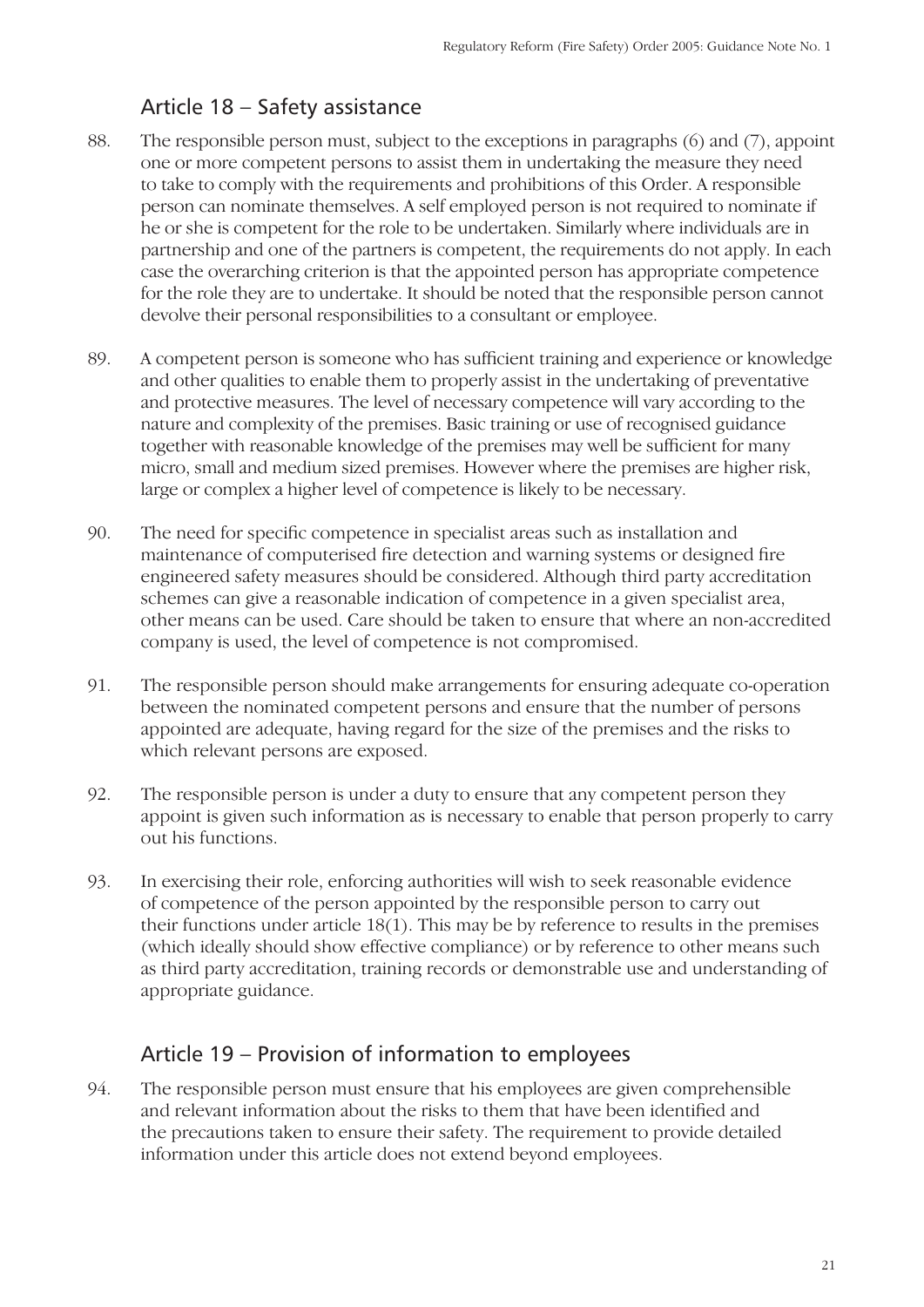## Article 18 – Safety assistance

- 88. The responsible person must, subject to the exceptions in paragraphs (6) and (7), appoint one or more competent persons to assist them in undertaking the measure they need to take to comply with the requirements and prohibitions of this Order. A responsible person can nominate themselves. A self employed person is not required to nominate if he or she is competent for the role to be undertaken. Similarly where individuals are in partnership and one of the partners is competent, the requirements do not apply. In each case the overarching criterion is that the appointed person has appropriate competence for the role they are to undertake. It should be noted that the responsible person cannot devolve their personal responsibilities to a consultant or employee.
- 89. A competent person is someone who has sufficient training and experience or knowledge and other qualities to enable them to properly assist in the undertaking of preventative and protective measures. The level of necessary competence will vary according to the nature and complexity of the premises. Basic training or use of recognised guidance together with reasonable knowledge of the premises may well be sufficient for many micro, small and medium sized premises. However where the premises are higher risk, large or complex a higher level of competence is likely to be necessary.
- 90. The need for specific competence in specialist areas such as installation and maintenance of computerised fire detection and warning systems or designed fire engineered safety measures should be considered. Although third party accreditation schemes can give a reasonable indication of competence in a given specialist area, other means can be used. Care should be taken to ensure that where an non-accredited company is used, the level of competence is not compromised.
- 91. The responsible person should make arrangements for ensuring adequate co-operation between the nominated competent persons and ensure that the number of persons appointed are adequate, having regard for the size of the premises and the risks to which relevant persons are exposed.
- 92. The responsible person is under a duty to ensure that any competent person they appoint is given such information as is necessary to enable that person properly to carry out his functions.
- 93. In exercising their role, enforcing authorities will wish to seek reasonable evidence of competence of the person appointed by the responsible person to carry out their functions under article 18(1). This may be by reference to results in the premises (which ideally should show effective compliance) or by reference to other means such as third party accreditation, training records or demonstrable use and understanding of appropriate guidance.

#### Article 19 – Provision of information to employees

94. The responsible person must ensure that his employees are given comprehensible and relevant information about the risks to them that have been identified and the precautions taken to ensure their safety. The requirement to provide detailed information under this article does not extend beyond employees.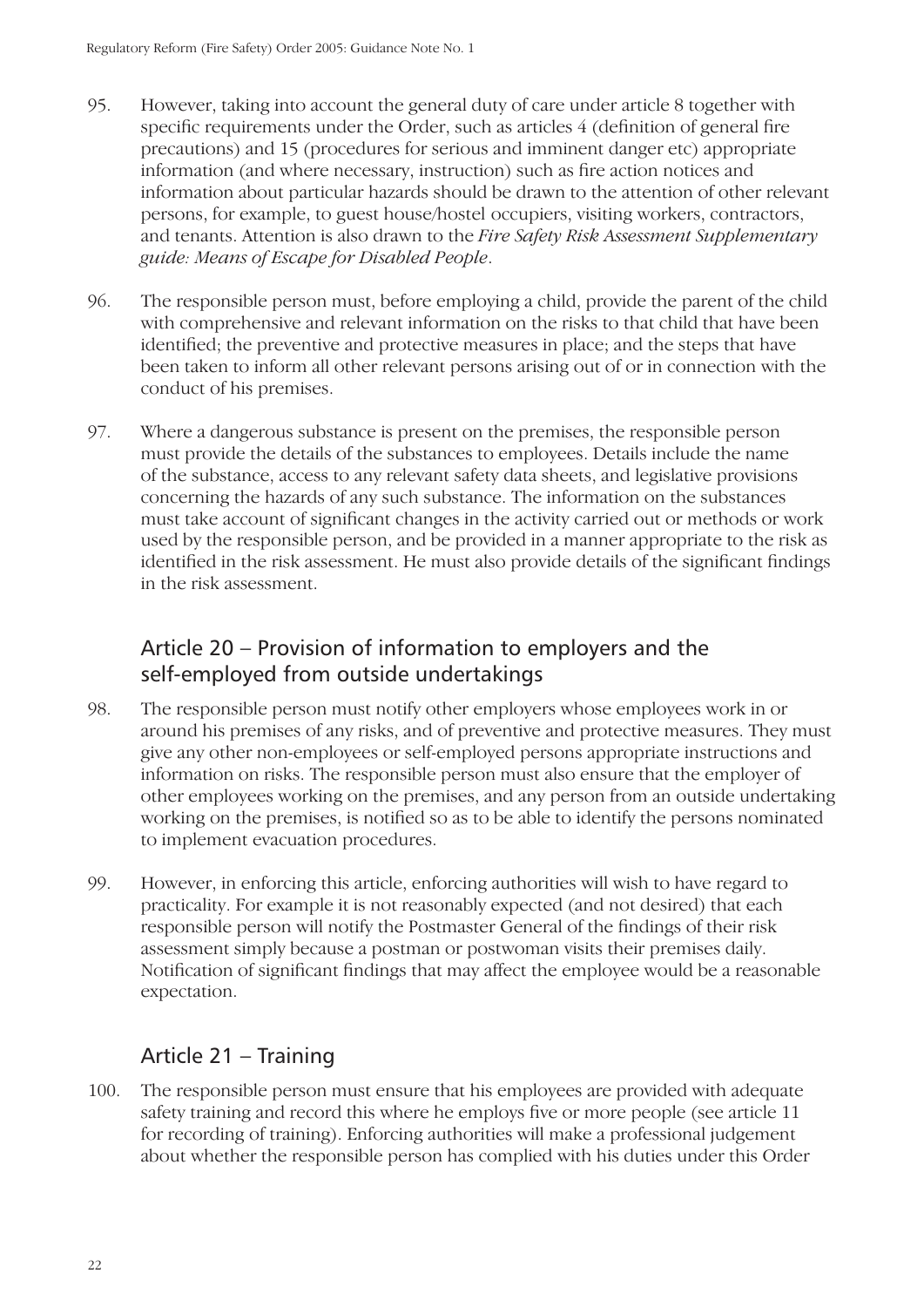- 95. However, taking into account the general duty of care under article 8 together with specific requirements under the Order, such as articles 4 (definition of general fire precautions) and 15 (procedures for serious and imminent danger etc) appropriate information (and where necessary, instruction) such as fire action notices and information about particular hazards should be drawn to the attention of other relevant persons, for example, to guest house/hostel occupiers, visiting workers, contractors, and tenants. Attention is also drawn to the *Fire Safety Risk Assessment Supplementary guide: Means of Escape for Disabled People*.
- 96. The responsible person must, before employing a child, provide the parent of the child with comprehensive and relevant information on the risks to that child that have been identified; the preventive and protective measures in place; and the steps that have been taken to inform all other relevant persons arising out of or in connection with the conduct of his premises.
- 97. Where a dangerous substance is present on the premises, the responsible person must provide the details of the substances to employees. Details include the name of the substance, access to any relevant safety data sheets, and legislative provisions concerning the hazards of any such substance. The information on the substances must take account of significant changes in the activity carried out or methods or work used by the responsible person, and be provided in a manner appropriate to the risk as identified in the risk assessment. He must also provide details of the significant findings in the risk assessment.

## Article 20 – Provision of information to employers and the self-employed from outside undertakings

- 98. The responsible person must notify other employers whose employees work in or around his premises of any risks, and of preventive and protective measures. They must give any other non-employees or self-employed persons appropriate instructions and information on risks. The responsible person must also ensure that the employer of other employees working on the premises, and any person from an outside undertaking working on the premises, is notified so as to be able to identify the persons nominated to implement evacuation procedures.
- 99. However, in enforcing this article, enforcing authorities will wish to have regard to practicality. For example it is not reasonably expected (and not desired) that each responsible person will notify the Postmaster General of the findings of their risk assessment simply because a postman or postwoman visits their premises daily. Notification of significant findings that may affect the employee would be a reasonable expectation.

## Article 21 – Training

100. The responsible person must ensure that his employees are provided with adequate safety training and record this where he employs five or more people (see article 11 for recording of training). Enforcing authorities will make a professional judgement about whether the responsible person has complied with his duties under this Order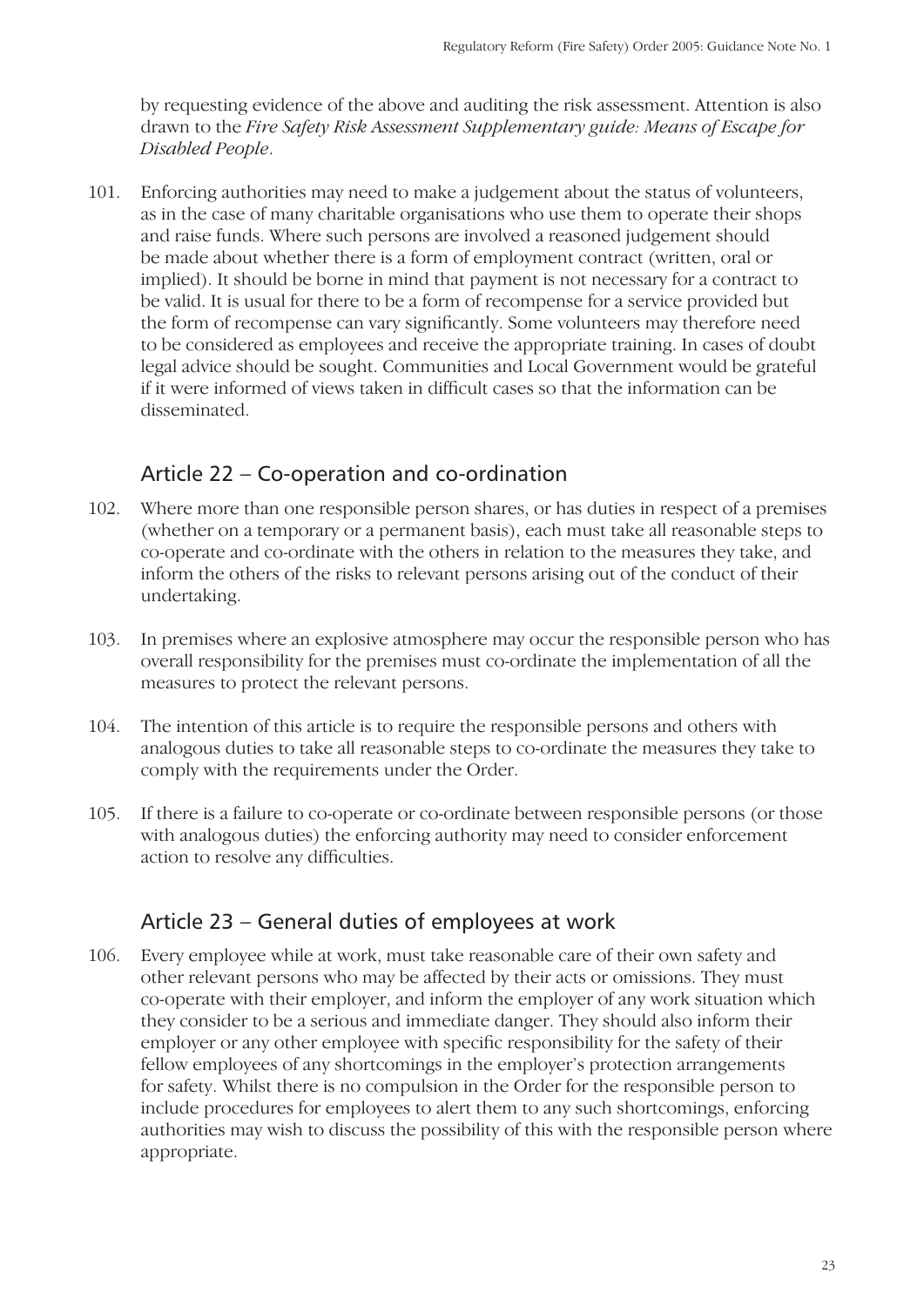by requesting evidence of the above and auditing the risk assessment. Attention is also drawn to the *Fire Safety Risk Assessment Supplementary guide: Means of Escape for Disabled People*.

101. Enforcing authorities may need to make a judgement about the status of volunteers, as in the case of many charitable organisations who use them to operate their shops and raise funds. Where such persons are involved a reasoned judgement should be made about whether there is a form of employment contract (written, oral or implied). It should be borne in mind that payment is not necessary for a contract to be valid. It is usual for there to be a form of recompense for a service provided but the form of recompense can vary significantly. Some volunteers may therefore need to be considered as employees and receive the appropriate training. In cases of doubt legal advice should be sought. Communities and Local Government would be grateful if it were informed of views taken in difficult cases so that the information can be disseminated.

## Article 22 – Co-operation and co-ordination

- 102. Where more than one responsible person shares, or has duties in respect of a premises (whether on a temporary or a permanent basis), each must take all reasonable steps to co-operate and co-ordinate with the others in relation to the measures they take, and inform the others of the risks to relevant persons arising out of the conduct of their undertaking.
- 103. In premises where an explosive atmosphere may occur the responsible person who has overall responsibility for the premises must co-ordinate the implementation of all the measures to protect the relevant persons.
- 104. The intention of this article is to require the responsible persons and others with analogous duties to take all reasonable steps to co-ordinate the measures they take to comply with the requirements under the Order.
- 105. If there is a failure to co-operate or co-ordinate between responsible persons (or those with analogous duties) the enforcing authority may need to consider enforcement action to resolve any difficulties.

#### Article 23 – General duties of employees at work

106. Every employee while at work, must take reasonable care of their own safety and other relevant persons who may be affected by their acts or omissions. They must co-operate with their employer, and inform the employer of any work situation which they consider to be a serious and immediate danger. They should also inform their employer or any other employee with specific responsibility for the safety of their fellow employees of any shortcomings in the employer's protection arrangements for safety. Whilst there is no compulsion in the Order for the responsible person to include procedures for employees to alert them to any such shortcomings, enforcing authorities may wish to discuss the possibility of this with the responsible person where appropriate.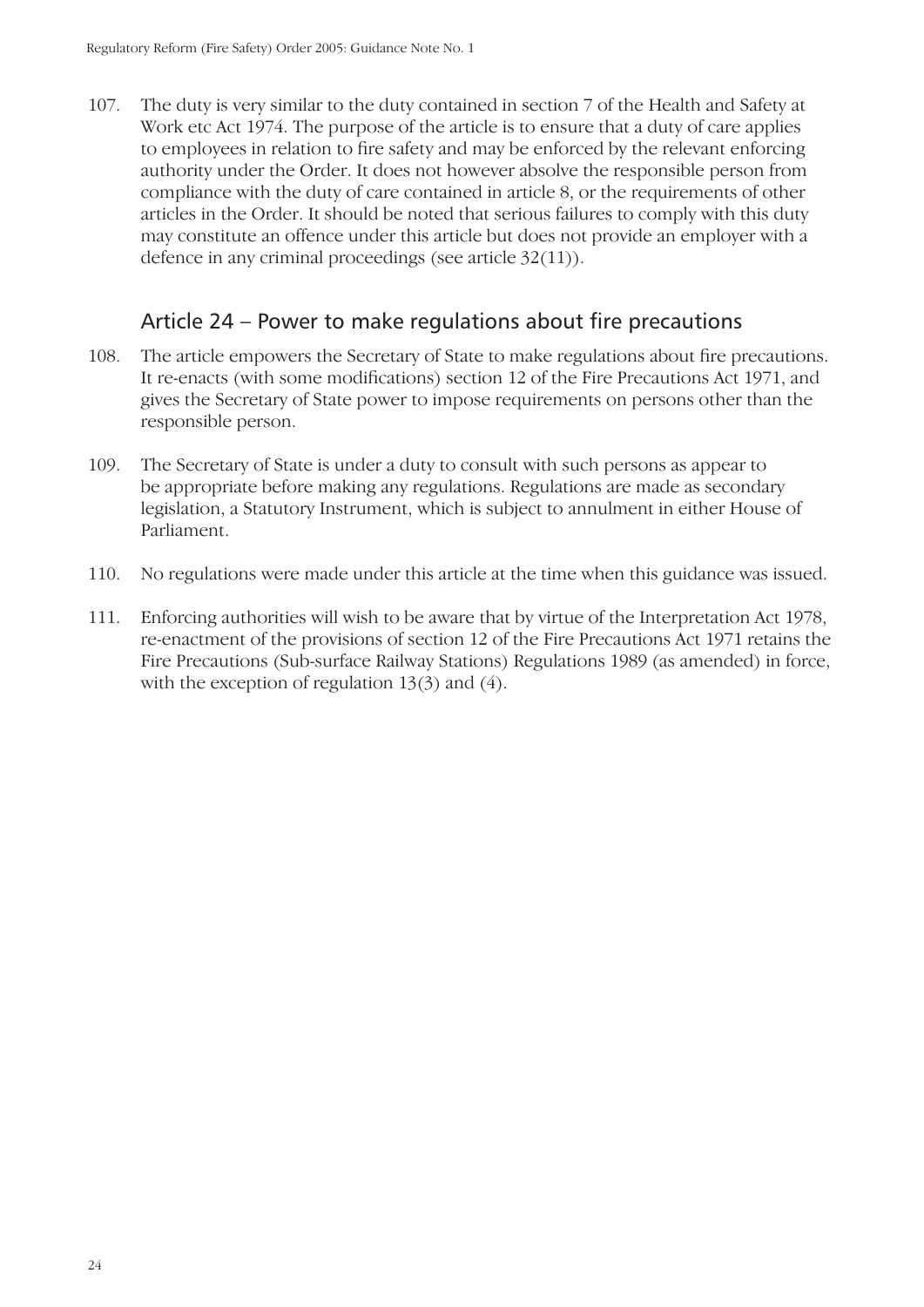107. The duty is very similar to the duty contained in section 7 of the Health and Safety at Work etc Act 1974. The purpose of the article is to ensure that a duty of care applies to employees in relation to fire safety and may be enforced by the relevant enforcing authority under the Order. It does not however absolve the responsible person from compliance with the duty of care contained in article 8, or the requirements of other articles in the Order. It should be noted that serious failures to comply with this duty may constitute an offence under this article but does not provide an employer with a defence in any criminal proceedings (see article 32(11)).

#### Article  $24$  – Power to make regulations about fire precautions

- 108. The article empowers the Secretary of State to make regulations about fire precautions. It re-enacts (with some modifications) section 12 of the Fire Precautions Act 1971, and gives the Secretary of State power to impose requirements on persons other than the responsible person.
- 109. The Secretary of State is under a duty to consult with such persons as appear to be appropriate before making any regulations. Regulations are made as secondary legislation, a Statutory Instrument, which is subject to annulment in either House of Parliament.
- 110. No regulations were made under this article at the time when this guidance was issued.
- 111. Enforcing authorities will wish to be aware that by virtue of the Interpretation Act 1978, re-enactment of the provisions of section 12 of the Fire Precautions Act 1971 retains the Fire Precautions (Sub-surface Railway Stations) Regulations 1989 (as amended) in force, with the exception of regulation  $13(3)$  and  $(4)$ .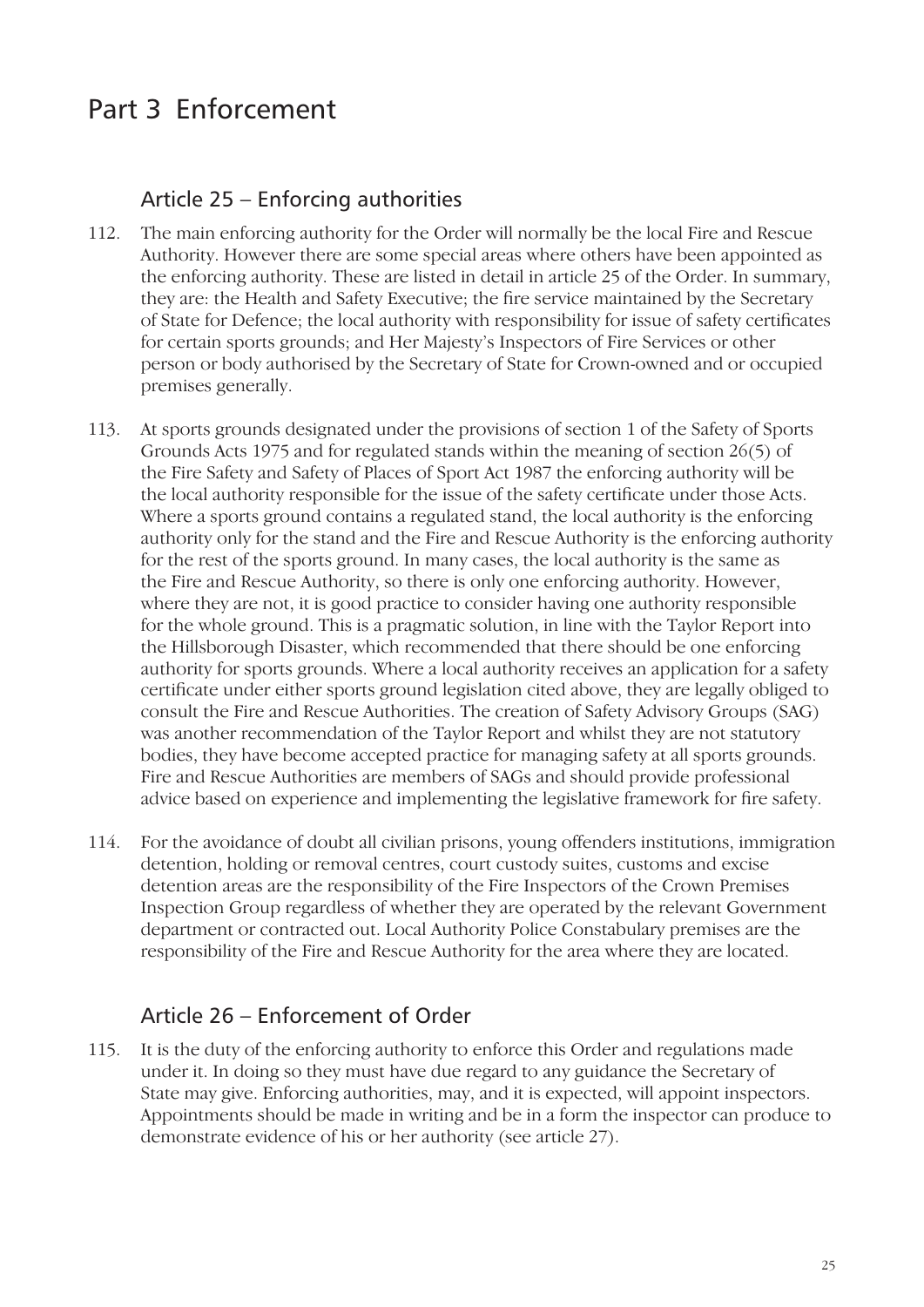# Part 3 Enforcement

#### Article 25 – Enforcing authorities

- 112. The main enforcing authority for the Order will normally be the local Fire and Rescue Authority. However there are some special areas where others have been appointed as the enforcing authority. These are listed in detail in article 25 of the Order. In summary, they are: the Health and Safety Executive; the fire service maintained by the Secretary of State for Defence; the local authority with responsibility for issue of safety certificates for certain sports grounds; and Her Majesty's Inspectors of Fire Services or other person or body authorised by the Secretary of State for Crown-owned and or occupied premises generally.
- 113. At sports grounds designated under the provisions of section 1 of the Safety of Sports Grounds Acts 1975 and for regulated stands within the meaning of section 26(5) of the Fire Safety and Safety of Places of Sport Act 1987 the enforcing authority will be the local authority responsible for the issue of the safety certificate under those Acts. Where a sports ground contains a regulated stand, the local authority is the enforcing authority only for the stand and the Fire and Rescue Authority is the enforcing authority for the rest of the sports ground. In many cases, the local authority is the same as the Fire and Rescue Authority, so there is only one enforcing authority. However, where they are not, it is good practice to consider having one authority responsible for the whole ground. This is a pragmatic solution, in line with the Taylor Report into the Hillsborough Disaster, which recommended that there should be one enforcing authority for sports grounds. Where a local authority receives an application for a safety certificate under either sports ground legislation cited above, they are legally obliged to consult the Fire and Rescue Authorities. The creation of Safety Advisory Groups (SAG) was another recommendation of the Taylor Report and whilst they are not statutory bodies, they have become accepted practice for managing safety at all sports grounds. Fire and Rescue Authorities are members of SAGs and should provide professional advice based on experience and implementing the legislative framework for fire safety.
- 114. For the avoidance of doubt all civilian prisons, young offenders institutions, immigration detention, holding or removal centres, court custody suites, customs and excise detention areas are the responsibility of the Fire Inspectors of the Crown Premises Inspection Group regardless of whether they are operated by the relevant Government department or contracted out. Local Authority Police Constabulary premises are the responsibility of the Fire and Rescue Authority for the area where they are located.

#### Article 26 – Enforcement of Order

115. It is the duty of the enforcing authority to enforce this Order and regulations made under it. In doing so they must have due regard to any guidance the Secretary of State may give. Enforcing authorities, may, and it is expected, will appoint inspectors. Appointments should be made in writing and be in a form the inspector can produce to demonstrate evidence of his or her authority (see article 27).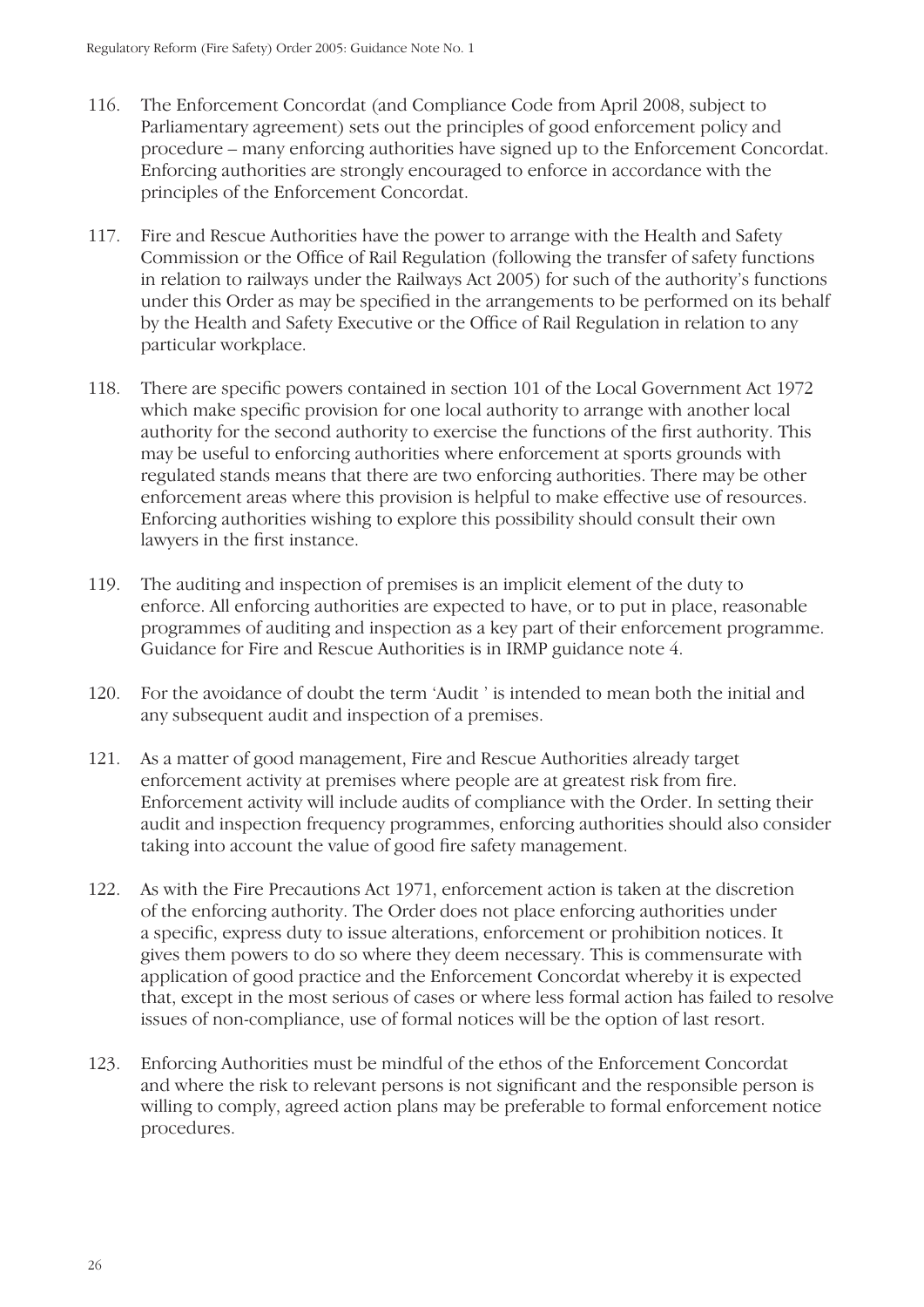- 116. The Enforcement Concordat (and Compliance Code from April 2008, subject to Parliamentary agreement) sets out the principles of good enforcement policy and procedure – many enforcing authorities have signed up to the Enforcement Concordat. Enforcing authorities are strongly encouraged to enforce in accordance with the principles of the Enforcement Concordat.
- 117. Fire and Rescue Authorities have the power to arrange with the Health and Safety Commission or the Office of Rail Regulation (following the transfer of safety functions in relation to railways under the Railways Act 2005) for such of the authority's functions under this Order as may be specified in the arrangements to be performed on its behalf by the Health and Safety Executive or the Office of Rail Regulation in relation to any particular workplace.
- 118. There are specific powers contained in section 101 of the Local Government Act 1972 which make specific provision for one local authority to arrange with another local authority for the second authority to exercise the functions of the first authority. This may be useful to enforcing authorities where enforcement at sports grounds with regulated stands means that there are two enforcing authorities. There may be other enforcement areas where this provision is helpful to make effective use of resources. Enforcing authorities wishing to explore this possibility should consult their own lawyers in the first instance.
- 119. The auditing and inspection of premises is an implicit element of the duty to enforce. All enforcing authorities are expected to have, or to put in place, reasonable programmes of auditing and inspection as a key part of their enforcement programme. Guidance for Fire and Rescue Authorities is in IRMP guidance note 4.
- 120. For the avoidance of doubt the term 'Audit ' is intended to mean both the initial and any subsequent audit and inspection of a premises.
- 121. As a matter of good management, Fire and Rescue Authorities already target enforcement activity at premises where people are at greatest risk from fire. Enforcement activity will include audits of compliance with the Order. In setting their audit and inspection frequency programmes, enforcing authorities should also consider taking into account the value of good fire safety management.
- 122. As with the Fire Precautions Act 1971, enforcement action is taken at the discretion of the enforcing authority. The Order does not place enforcing authorities under a specific, express duty to issue alterations, enforcement or prohibition notices. It gives them powers to do so where they deem necessary. This is commensurate with application of good practice and the Enforcement Concordat whereby it is expected that, except in the most serious of cases or where less formal action has failed to resolve issues of non-compliance, use of formal notices will be the option of last resort.
- 123. Enforcing Authorities must be mindful of the ethos of the Enforcement Concordat and where the risk to relevant persons is not significant and the responsible person is willing to comply, agreed action plans may be preferable to formal enforcement notice procedures.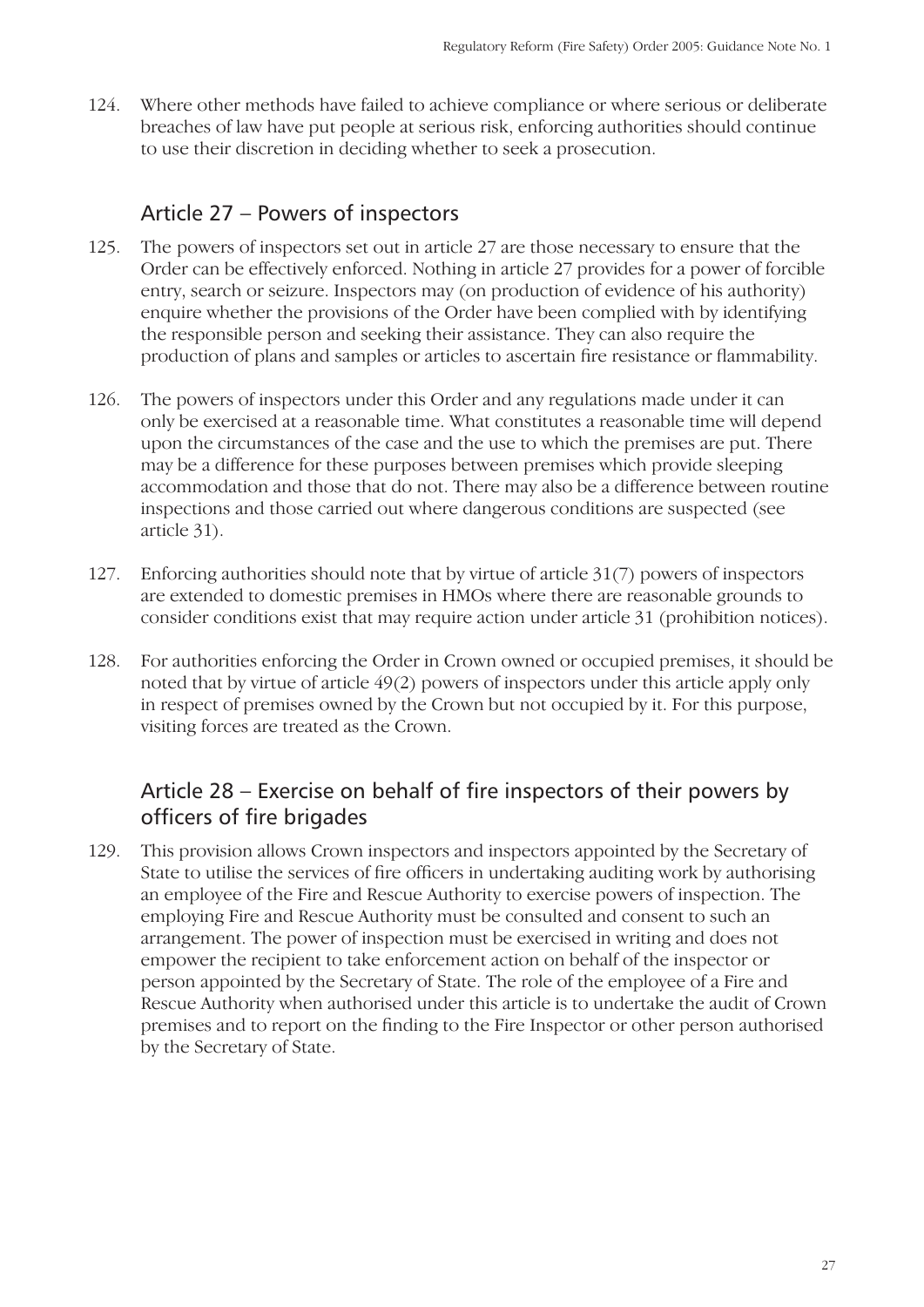124. Where other methods have failed to achieve compliance or where serious or deliberate breaches of law have put people at serious risk, enforcing authorities should continue to use their discretion in deciding whether to seek a prosecution.

#### Article 27 – Powers of inspectors

- 125. The powers of inspectors set out in article 27 are those necessary to ensure that the Order can be effectively enforced. Nothing in article 27 provides for a power of forcible entry, search or seizure. Inspectors may (on production of evidence of his authority) enquire whether the provisions of the Order have been complied with by identifying the responsible person and seeking their assistance. They can also require the production of plans and samples or articles to ascertain fire resistance or flammability.
- 126. The powers of inspectors under this Order and any regulations made under it can only be exercised at a reasonable time. What constitutes a reasonable time will depend upon the circumstances of the case and the use to which the premises are put. There may be a difference for these purposes between premises which provide sleeping accommodation and those that do not. There may also be a difference between routine inspections and those carried out where dangerous conditions are suspected (see article 31).
- 127. Enforcing authorities should note that by virtue of article 31(7) powers of inspectors are extended to domestic premises in HMOs where there are reasonable grounds to consider conditions exist that may require action under article 31 (prohibition notices).
- 128. For authorities enforcing the Order in Crown owned or occupied premises, it should be noted that by virtue of article 49(2) powers of inspectors under this article apply only in respect of premises owned by the Crown but not occupied by it. For this purpose, visiting forces are treated as the Crown.

#### Article  $28$  – Exercise on behalf of fire inspectors of their powers by officers of fire brigades

129. This provision allows Crown inspectors and inspectors appointed by the Secretary of State to utilise the services of fire officers in undertaking auditing work by authorising an employee of the Fire and Rescue Authority to exercise powers of inspection. The employing Fire and Rescue Authority must be consulted and consent to such an arrangement. The power of inspection must be exercised in writing and does not empower the recipient to take enforcement action on behalf of the inspector or person appointed by the Secretary of State. The role of the employee of a Fire and Rescue Authority when authorised under this article is to undertake the audit of Crown premises and to report on the finding to the Fire Inspector or other person authorised by the Secretary of State.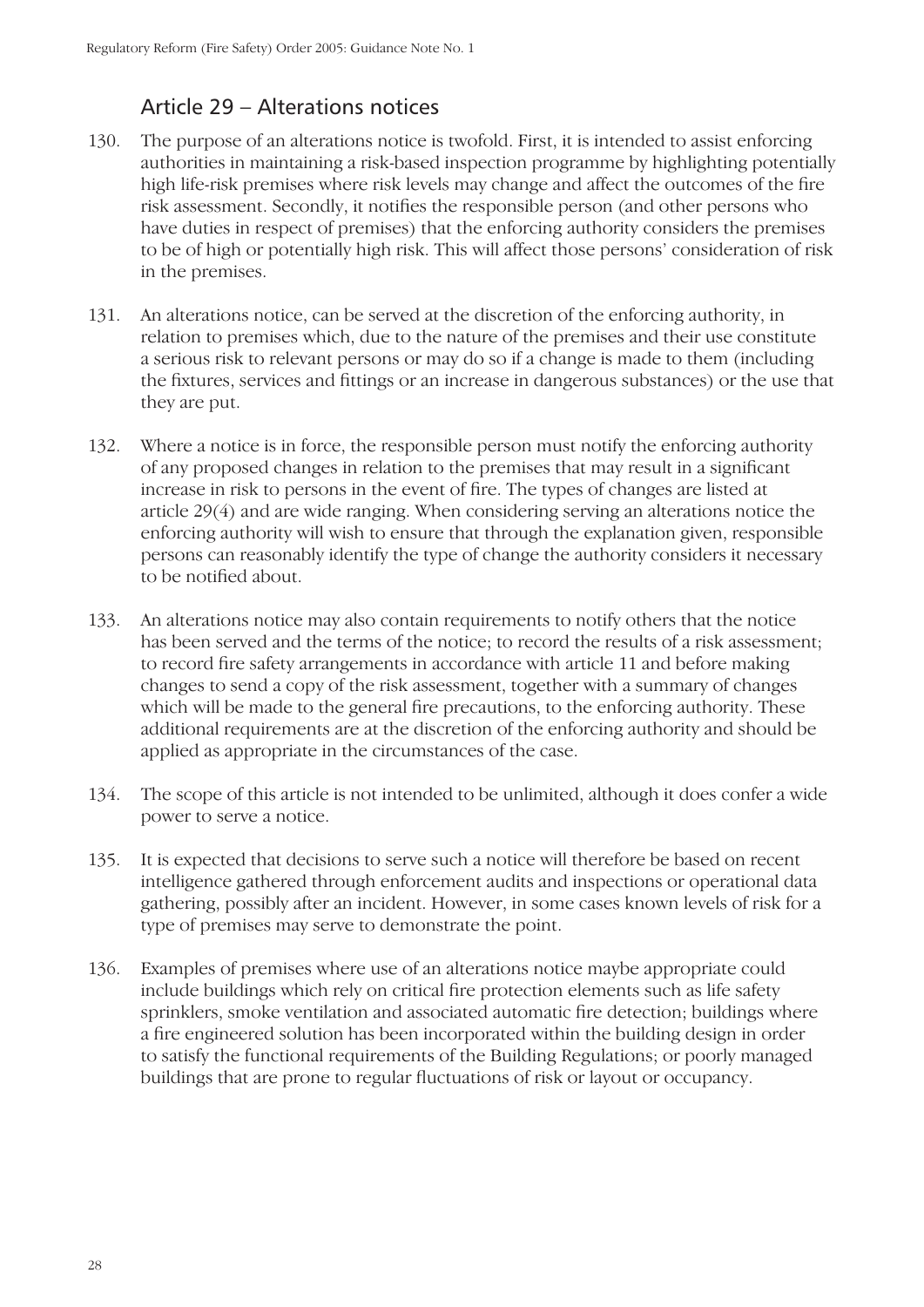# Article 29 – Alterations notices

- 130. The purpose of an alterations notice is twofold. First, it is intended to assist enforcing authorities in maintaining a risk-based inspection programme by highlighting potentially high life-risk premises where risk levels may change and affect the outcomes of the fire risk assessment. Secondly, it notifies the responsible person (and other persons who have duties in respect of premises) that the enforcing authority considers the premises to be of high or potentially high risk. This will affect those persons' consideration of risk in the premises.
- 131. An alterations notice, can be served at the discretion of the enforcing authority, in relation to premises which, due to the nature of the premises and their use constitute a serious risk to relevant persons or may do so if a change is made to them (including the fixtures, services and fittings or an increase in dangerous substances) or the use that they are put.
- 132. Where a notice is in force, the responsible person must notify the enforcing authority of any proposed changes in relation to the premises that may result in a significant increase in risk to persons in the event of fire. The types of changes are listed at article 29(4) and are wide ranging. When considering serving an alterations notice the enforcing authority will wish to ensure that through the explanation given, responsible persons can reasonably identify the type of change the authority considers it necessary to be notified about.
- 133. An alterations notice may also contain requirements to notify others that the notice has been served and the terms of the notice; to record the results of a risk assessment; to record fire safety arrangements in accordance with article 11 and before making changes to send a copy of the risk assessment, together with a summary of changes which will be made to the general fire precautions, to the enforcing authority. These additional requirements are at the discretion of the enforcing authority and should be applied as appropriate in the circumstances of the case.
- 134. The scope of this article is not intended to be unlimited, although it does confer a wide power to serve a notice.
- 135. It is expected that decisions to serve such a notice will therefore be based on recent intelligence gathered through enforcement audits and inspections or operational data gathering, possibly after an incident. However, in some cases known levels of risk for a type of premises may serve to demonstrate the point.
- 136. Examples of premises where use of an alterations notice maybe appropriate could include buildings which rely on critical fire protection elements such as life safety sprinklers, smoke ventilation and associated automatic fire detection; buildings where a fire engineered solution has been incorporated within the building design in order to satisfy the functional requirements of the Building Regulations; or poorly managed buildings that are prone to regular fluctuations of risk or layout or occupancy.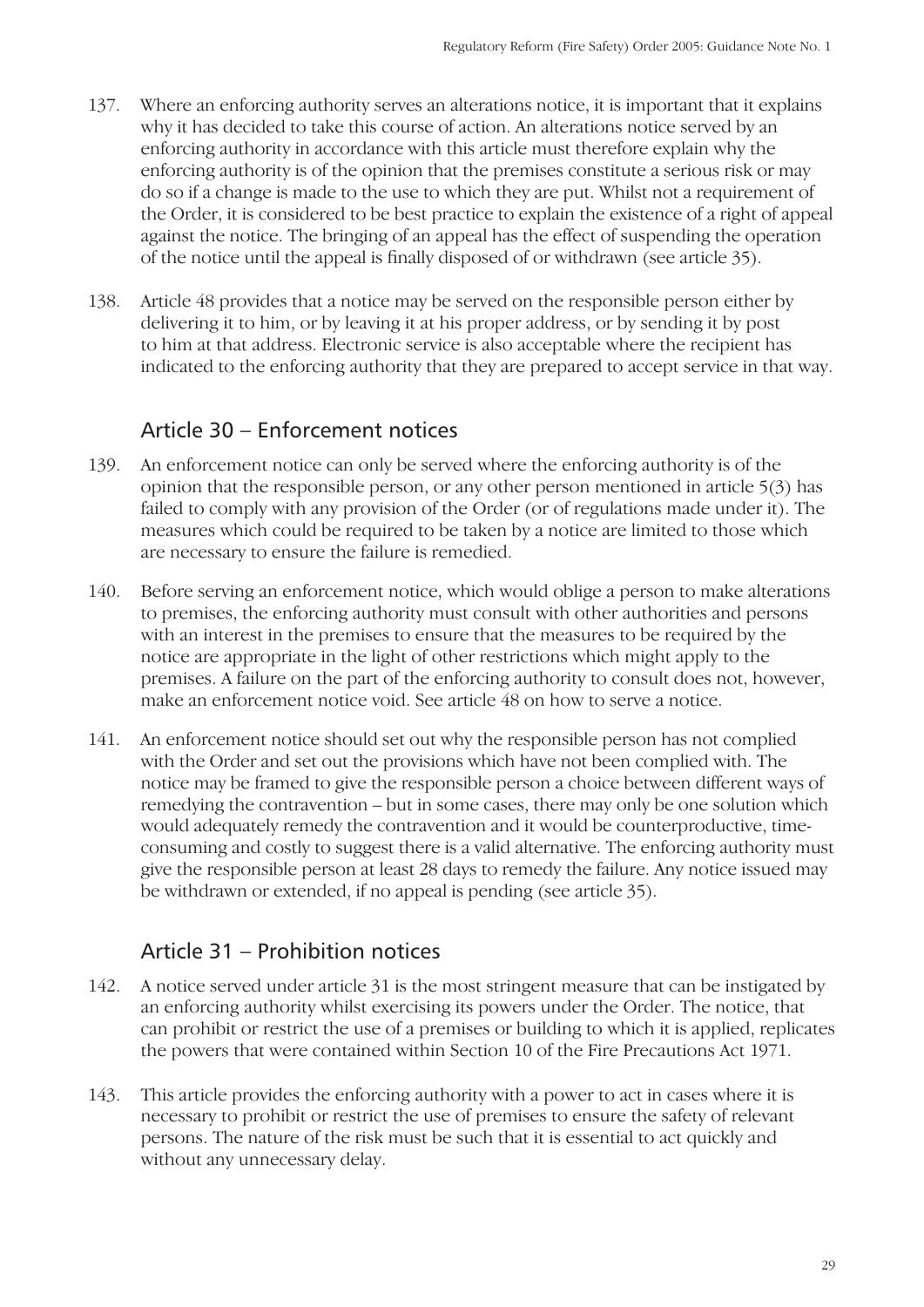- 137. Where an enforcing authority serves an alterations notice, it is important that it explains why it has decided to take this course of action. An alterations notice served by an enforcing authority in accordance with this article must therefore explain why the enforcing authority is of the opinion that the premises constitute a serious risk or may do so if a change is made to the use to which they are put. Whilst not a requirement of the Order, it is considered to be best practice to explain the existence of a right of appeal against the notice. The bringing of an appeal has the effect of suspending the operation of the notice until the appeal is finally disposed of or withdrawn (see article 35).
- 138. Article 48 provides that a notice may be served on the responsible person either by delivering it to him, or by leaving it at his proper address, or by sending it by post to him at that address. Electronic service is also acceptable where the recipient has indicated to the enforcing authority that they are prepared to accept service in that way.

#### Article 30 – Enforcement notices

- 139. An enforcement notice can only be served where the enforcing authority is of the opinion that the responsible person, or any other person mentioned in article 5(3) has failed to comply with any provision of the Order (or of regulations made under it). The measures which could be required to be taken by a notice are limited to those which are necessary to ensure the failure is remedied.
- 140. Before serving an enforcement notice, which would oblige a person to make alterations to premises, the enforcing authority must consult with other authorities and persons with an interest in the premises to ensure that the measures to be required by the notice are appropriate in the light of other restrictions which might apply to the premises. A failure on the part of the enforcing authority to consult does not, however, make an enforcement notice void. See article 48 on how to serve a notice.
- 141. An enforcement notice should set out why the responsible person has not complied with the Order and set out the provisions which have not been complied with. The notice may be framed to give the responsible person a choice between different ways of remedying the contravention – but in some cases, there may only be one solution which would adequately remedy the contravention and it would be counterproductive, timeconsuming and costly to suggest there is a valid alternative. The enforcing authority must give the responsible person at least 28 days to remedy the failure. Any notice issued may be withdrawn or extended, if no appeal is pending (see article 35).

#### Article 31 – Prohibition notices

- 142. A notice served under article 31 is the most stringent measure that can be instigated by an enforcing authority whilst exercising its powers under the Order. The notice, that can prohibit or restrict the use of a premises or building to which it is applied, replicates the powers that were contained within Section 10 of the Fire Precautions Act 1971.
- 143. This article provides the enforcing authority with a power to act in cases where it is necessary to prohibit or restrict the use of premises to ensure the safety of relevant persons. The nature of the risk must be such that it is essential to act quickly and without any unnecessary delay.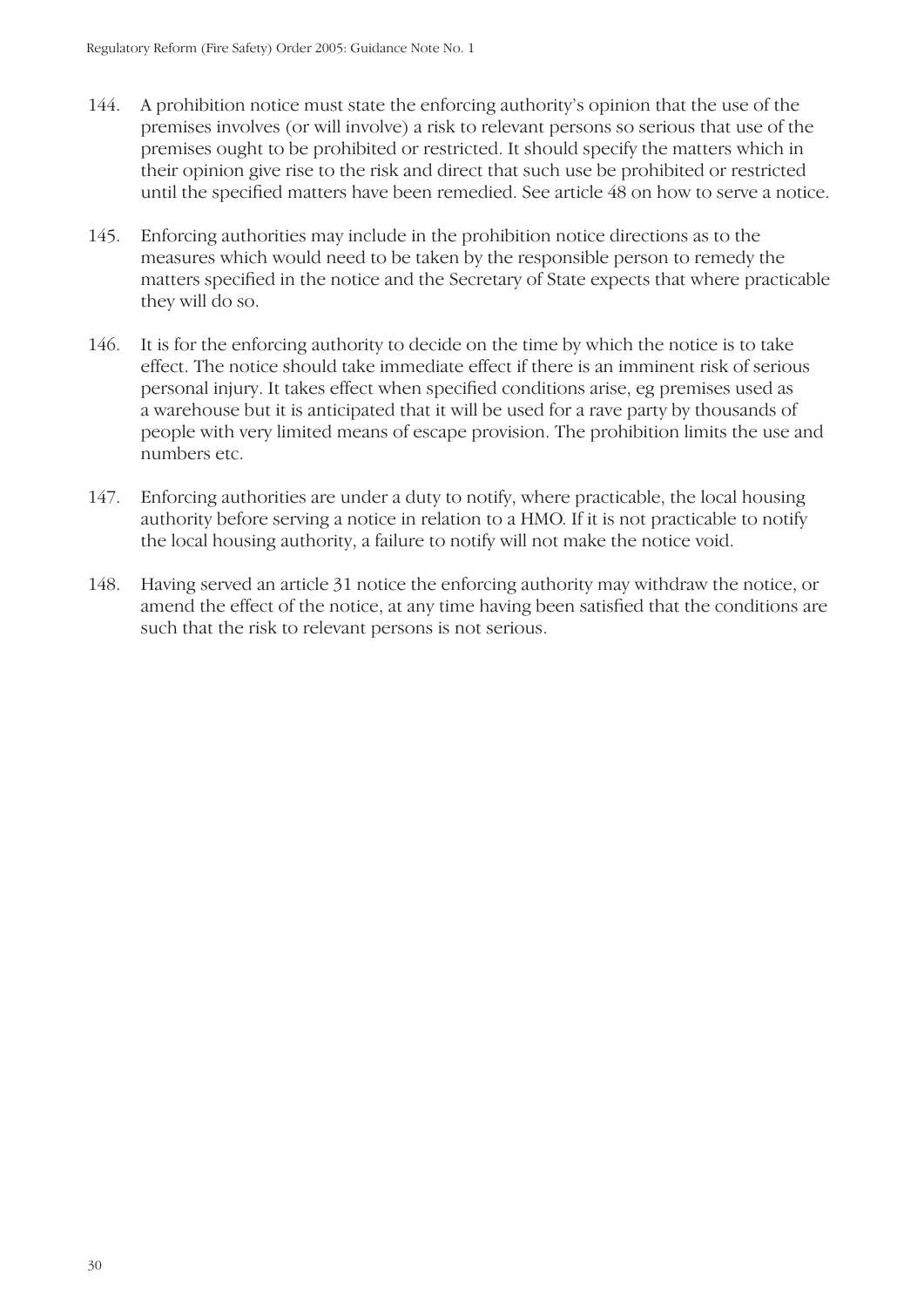- 144. A prohibition notice must state the enforcing authority's opinion that the use of the premises involves (or will involve) a risk to relevant persons so serious that use of the premises ought to be prohibited or restricted. It should specify the matters which in their opinion give rise to the risk and direct that such use be prohibited or restricted until the specified matters have been remedied. See article 48 on how to serve a notice.
- 145. Enforcing authorities may include in the prohibition notice directions as to the measures which would need to be taken by the responsible person to remedy the matters specified in the notice and the Secretary of State expects that where practicable they will do so.
- 146. It is for the enforcing authority to decide on the time by which the notice is to take effect. The notice should take immediate effect if there is an imminent risk of serious personal injury. It takes effect when specified conditions arise, eg premises used as a warehouse but it is anticipated that it will be used for a rave party by thousands of people with very limited means of escape provision. The prohibition limits the use and numbers etc.
- 147. Enforcing authorities are under a duty to notify, where practicable, the local housing authority before serving a notice in relation to a HMO. If it is not practicable to notify the local housing authority, a failure to notify will not make the notice void.
- 148. Having served an article 31 notice the enforcing authority may withdraw the notice, or amend the effect of the notice, at any time having been satisfied that the conditions are such that the risk to relevant persons is not serious.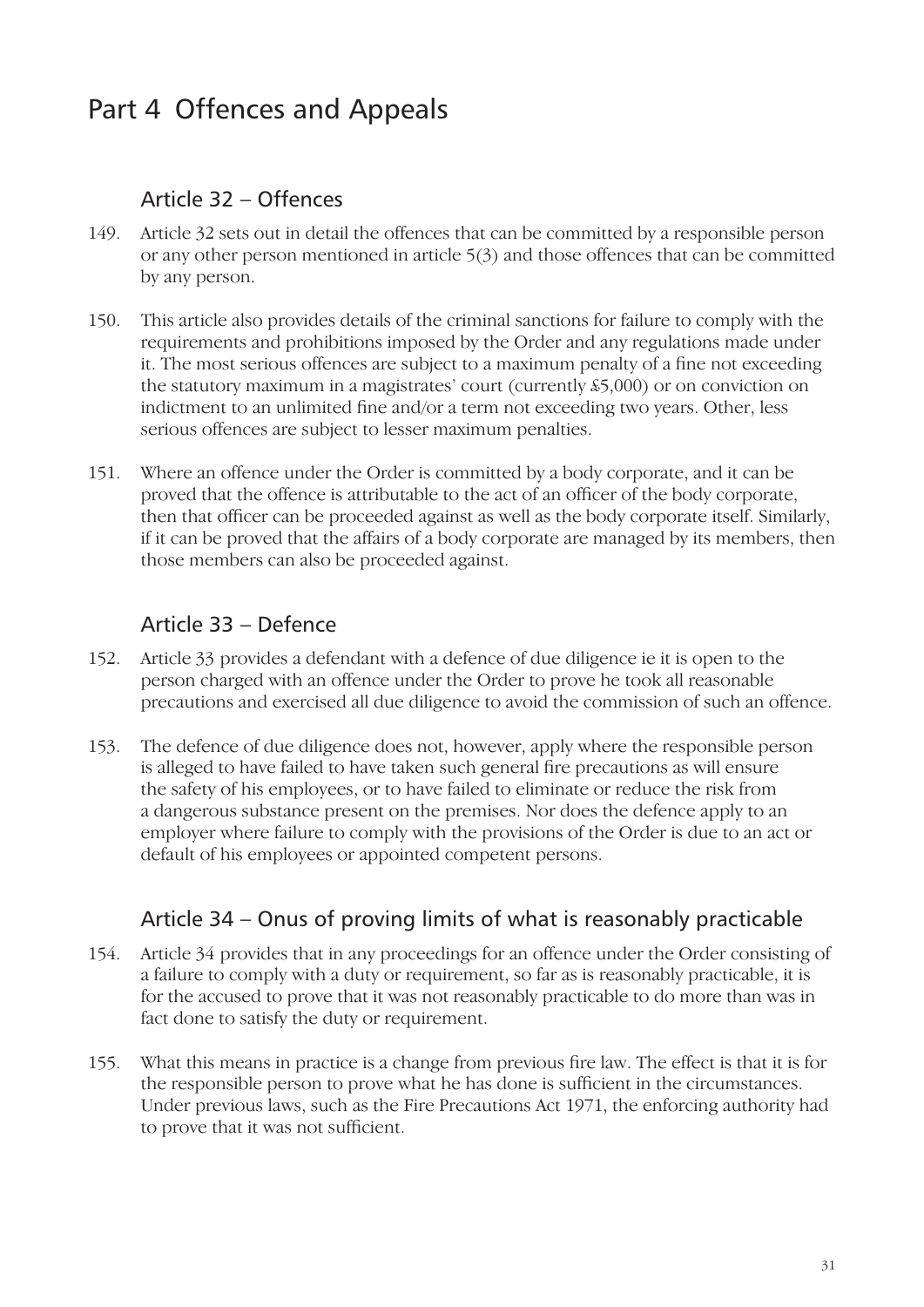# Part 4 Offences and Appeals

#### Article 32 – Offences

- 149. Article 32 sets out in detail the offences that can be committed by a responsible person or any other person mentioned in article 5(3) and those offences that can be committed by any person.
- 150. This article also provides details of the criminal sanctions for failure to comply with the requirements and prohibitions imposed by the Order and any regulations made under it. The most serious offences are subject to a maximum penalty of a fine not exceeding the statutory maximum in a magistrates' court (currently £5,000) or on conviction on indictment to an unlimited fine and/or a term not exceeding two years. Other, less serious offences are subject to lesser maximum penalties.
- 151. Where an offence under the Order is committed by a body corporate, and it can be proved that the offence is attributable to the act of an officer of the body corporate, then that officer can be proceeded against as well as the body corporate itself. Similarly, if it can be proved that the affairs of a body corporate are managed by its members, then those members can also be proceeded against.

## Article 33 – Defence

- 152. Article 33 provides a defendant with a defence of due diligence ie it is open to the person charged with an offence under the Order to prove he took all reasonable precautions and exercised all due diligence to avoid the commission of such an offence.
- 153. The defence of due diligence does not, however, apply where the responsible person is alleged to have failed to have taken such general fire precautions as will ensure the safety of his employees, or to have failed to eliminate or reduce the risk from a dangerous substance present on the premises. Nor does the defence apply to an employer where failure to comply with the provisions of the Order is due to an act or default of his employees or appointed competent persons.

## Article 34 – Onus of proving limits of what is reasonably practicable

- 154. Article 34 provides that in any proceedings for an offence under the Order consisting of a failure to comply with a duty or requirement, so far as is reasonably practicable, it is for the accused to prove that it was not reasonably practicable to do more than was in fact done to satisfy the duty or requirement.
- 155. What this means in practice is a change from previous fire law. The effect is that it is for the responsible person to prove what he has done is sufficient in the circumstances. Under previous laws, such as the Fire Precautions Act 1971, the enforcing authority had to prove that it was not sufficient.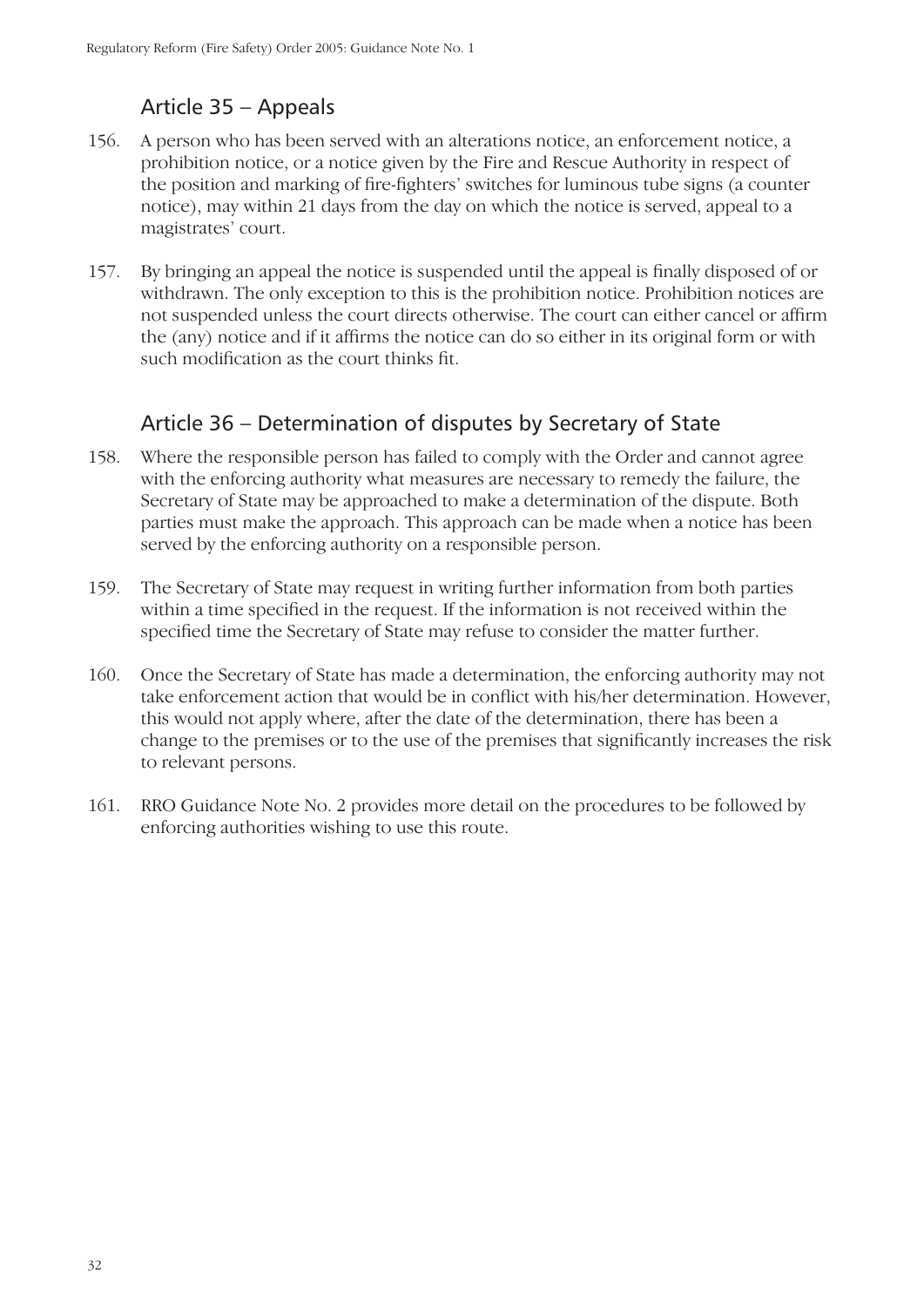# Article 35 – Appeals

- 156. A person who has been served with an alterations notice, an enforcement notice, a prohibition notice, or a notice given by the Fire and Rescue Authority in respect of the position and marking of fire-fighters' switches for luminous tube signs (a counter notice), may within 21 days from the day on which the notice is served, appeal to a magistrates' court.
- 157. By bringing an appeal the notice is suspended until the appeal is finally disposed of or withdrawn. The only exception to this is the prohibition notice. Prohibition notices are not suspended unless the court directs otherwise. The court can either cancel or affirm the (any) notice and if it affirms the notice can do so either in its original form or with such modification as the court thinks fit.

#### Article 36 – Determination of disputes by Secretary of State

- 158. Where the responsible person has failed to comply with the Order and cannot agree with the enforcing authority what measures are necessary to remedy the failure, the Secretary of State may be approached to make a determination of the dispute. Both parties must make the approach. This approach can be made when a notice has been served by the enforcing authority on a responsible person.
- 159. The Secretary of State may request in writing further information from both parties within a time specified in the request. If the information is not received within the specified time the Secretary of State may refuse to consider the matter further.
- 160. Once the Secretary of State has made a determination, the enforcing authority may not take enforcement action that would be in conflict with his/her determination. However, this would not apply where, after the date of the determination, there has been a change to the premises or to the use of the premises that significantly increases the risk to relevant persons.
- 161. RRO Guidance Note No. 2 provides more detail on the procedures to be followed by enforcing authorities wishing to use this route.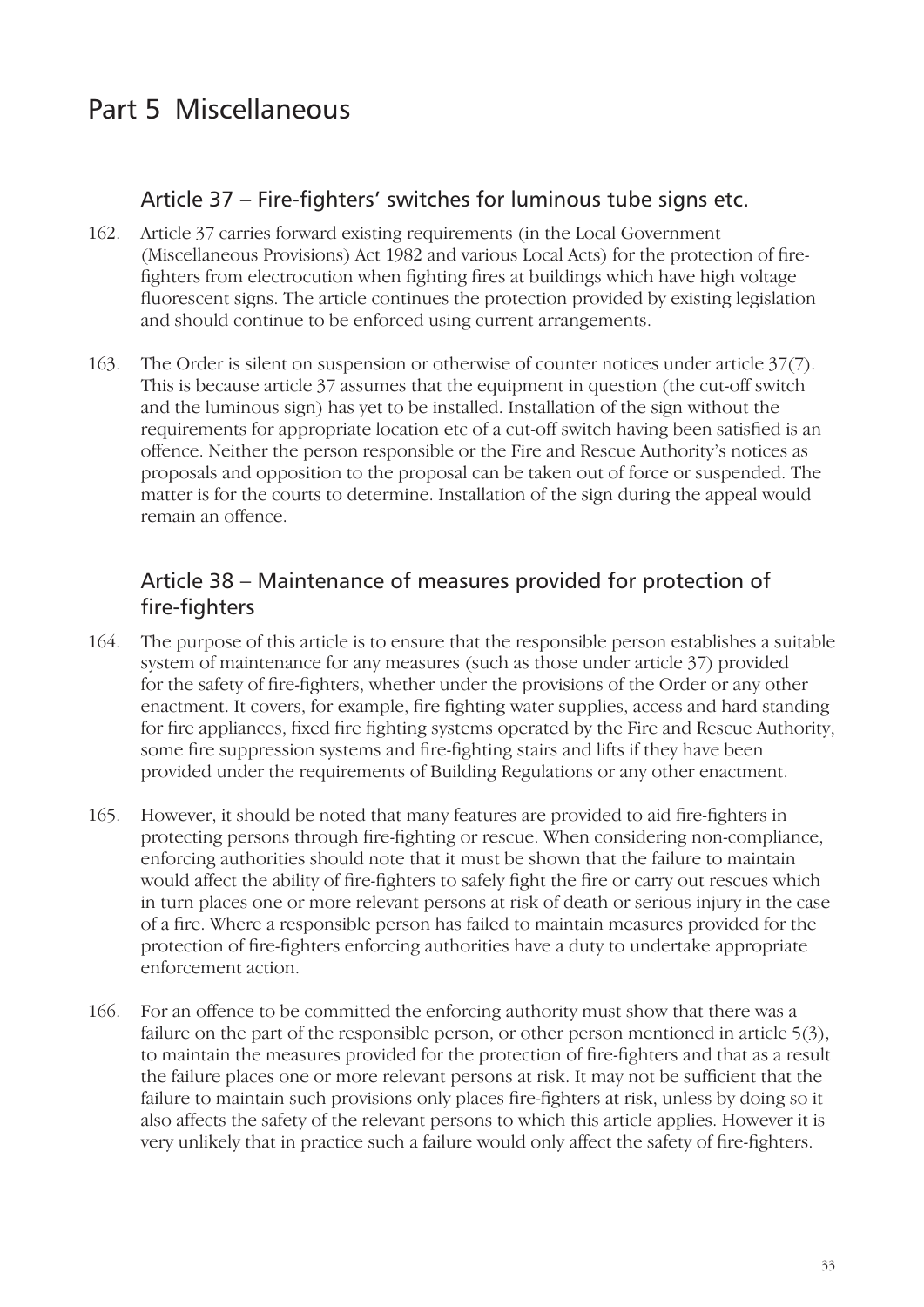# Part 5 Miscellaneous

#### Article 37 – Fire-fighters' switches for luminous tube signs etc.

- 162. Article 37 carries forward existing requirements (in the Local Government (Miscellaneous Provisions) Act 1982 and various Local Acts) for the protection of firefighters from electrocution when fighting fires at buildings which have high voltage fluorescent signs. The article continues the protection provided by existing legislation and should continue to be enforced using current arrangements.
- 163. The Order is silent on suspension or otherwise of counter notices under article 37(7). This is because article 37 assumes that the equipment in question (the cut-off switch and the luminous sign) has yet to be installed. Installation of the sign without the requirements for appropriate location etc of a cut-off switch having been satisfied is an offence. Neither the person responsible or the Fire and Rescue Authority's notices as proposals and opposition to the proposal can be taken out of force or suspended. The matter is for the courts to determine. Installation of the sign during the appeal would remain an offence.

#### Article 38 – Maintenance of measures provided for protection of fire-fighters

- 164. The purpose of this article is to ensure that the responsible person establishes a suitable system of maintenance for any measures (such as those under article 37) provided for the safety of fire-fighters, whether under the provisions of the Order or any other enactment. It covers, for example, fire fighting water supplies, access and hard standing for fire appliances, fixed fire fighting systems operated by the Fire and Rescue Authority, some fire suppression systems and fire-fighting stairs and lifts if they have been provided under the requirements of Building Regulations or any other enactment.
- 165. However, it should be noted that many features are provided to aid fire-fighters in protecting persons through fire-fighting or rescue. When considering non-compliance, enforcing authorities should note that it must be shown that the failure to maintain would affect the ability of fire-fighters to safely fight the fire or carry out rescues which in turn places one or more relevant persons at risk of death or serious injury in the case of a fire. Where a responsible person has failed to maintain measures provided for the protection of fire-fighters enforcing authorities have a duty to undertake appropriate enforcement action.
- 166. For an offence to be committed the enforcing authority must show that there was a failure on the part of the responsible person, or other person mentioned in article 5(3), to maintain the measures provided for the protection of fire-fighters and that as a result the failure places one or more relevant persons at risk. It may not be sufficient that the failure to maintain such provisions only places fire-fighters at risk, unless by doing so it also affects the safety of the relevant persons to which this article applies. However it is very unlikely that in practice such a failure would only affect the safety of fire-fighters.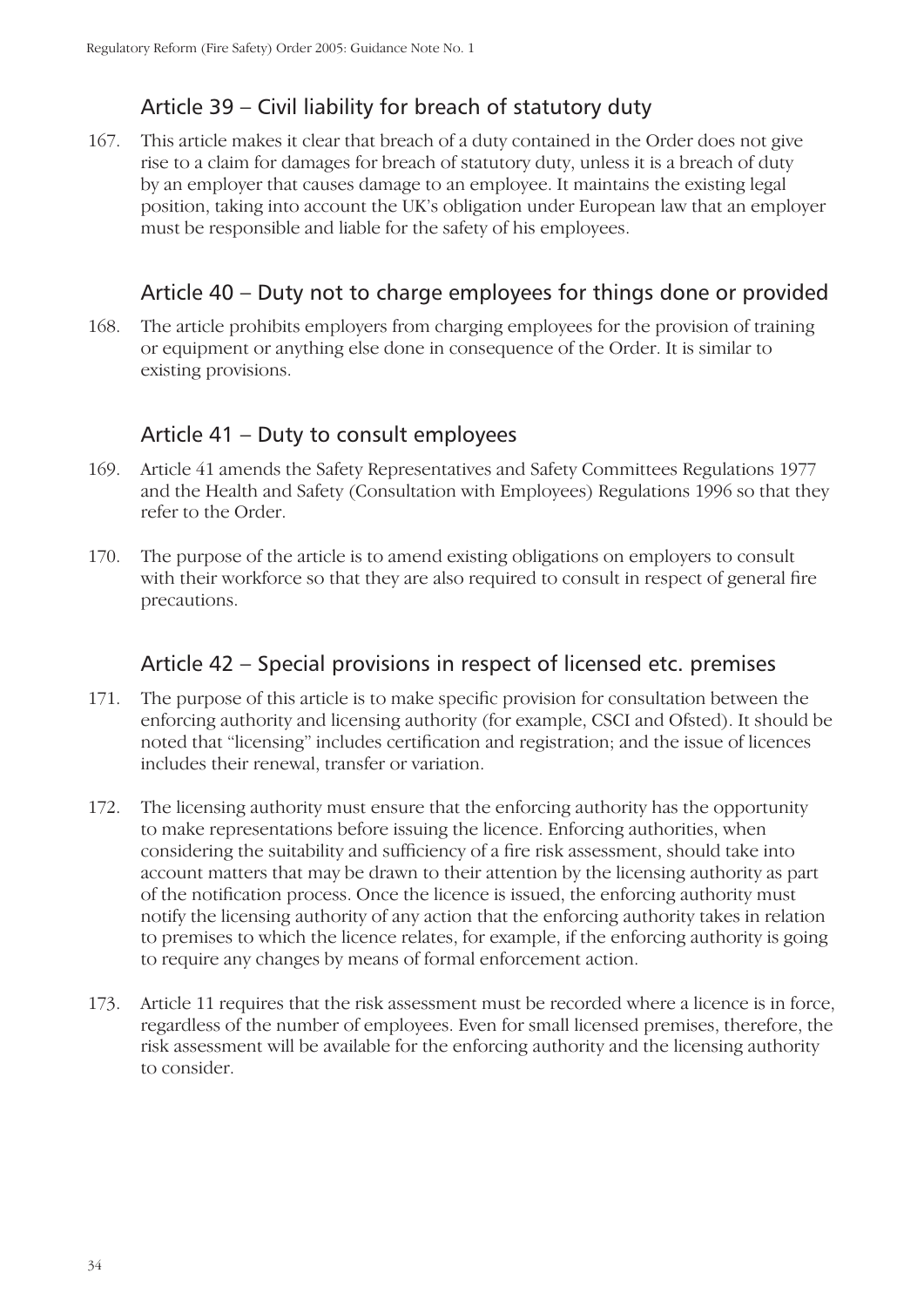# Article 39 – Civil liability for breach of statutory duty

167. This article makes it clear that breach of a duty contained in the Order does not give rise to a claim for damages for breach of statutory duty, unless it is a breach of duty by an employer that causes damage to an employee. It maintains the existing legal position, taking into account the UK's obligation under European law that an employer must be responsible and liable for the safety of his employees.

#### Article 40 – Duty not to charge employees for things done or provided

168. The article prohibits employers from charging employees for the provision of training or equipment or anything else done in consequence of the Order. It is similar to existing provisions.

#### Article 41 – Duty to consult employees

- 169. Article 41 amends the Safety Representatives and Safety Committees Regulations 1977 and the Health and Safety (Consultation with Employees) Regulations 1996 so that they refer to the Order.
- 170. The purpose of the article is to amend existing obligations on employers to consult with their workforce so that they are also required to consult in respect of general fire precautions.

#### Article 42 – Special provisions in respect of licensed etc. premises

- 171. The purpose of this article is to make specific provision for consultation between the enforcing authority and licensing authority (for example, CSCI and Ofsted). It should be noted that "licensing" includes certification and registration; and the issue of licences includes their renewal, transfer or variation.
- 172. The licensing authority must ensure that the enforcing authority has the opportunity to make representations before issuing the licence. Enforcing authorities, when considering the suitability and sufficiency of a fire risk assessment, should take into account matters that may be drawn to their attention by the licensing authority as part of the notification process. Once the licence is issued, the enforcing authority must notify the licensing authority of any action that the enforcing authority takes in relation to premises to which the licence relates, for example, if the enforcing authority is going to require any changes by means of formal enforcement action.
- 173. Article 11 requires that the risk assessment must be recorded where a licence is in force, regardless of the number of employees. Even for small licensed premises, therefore, the risk assessment will be available for the enforcing authority and the licensing authority to consider.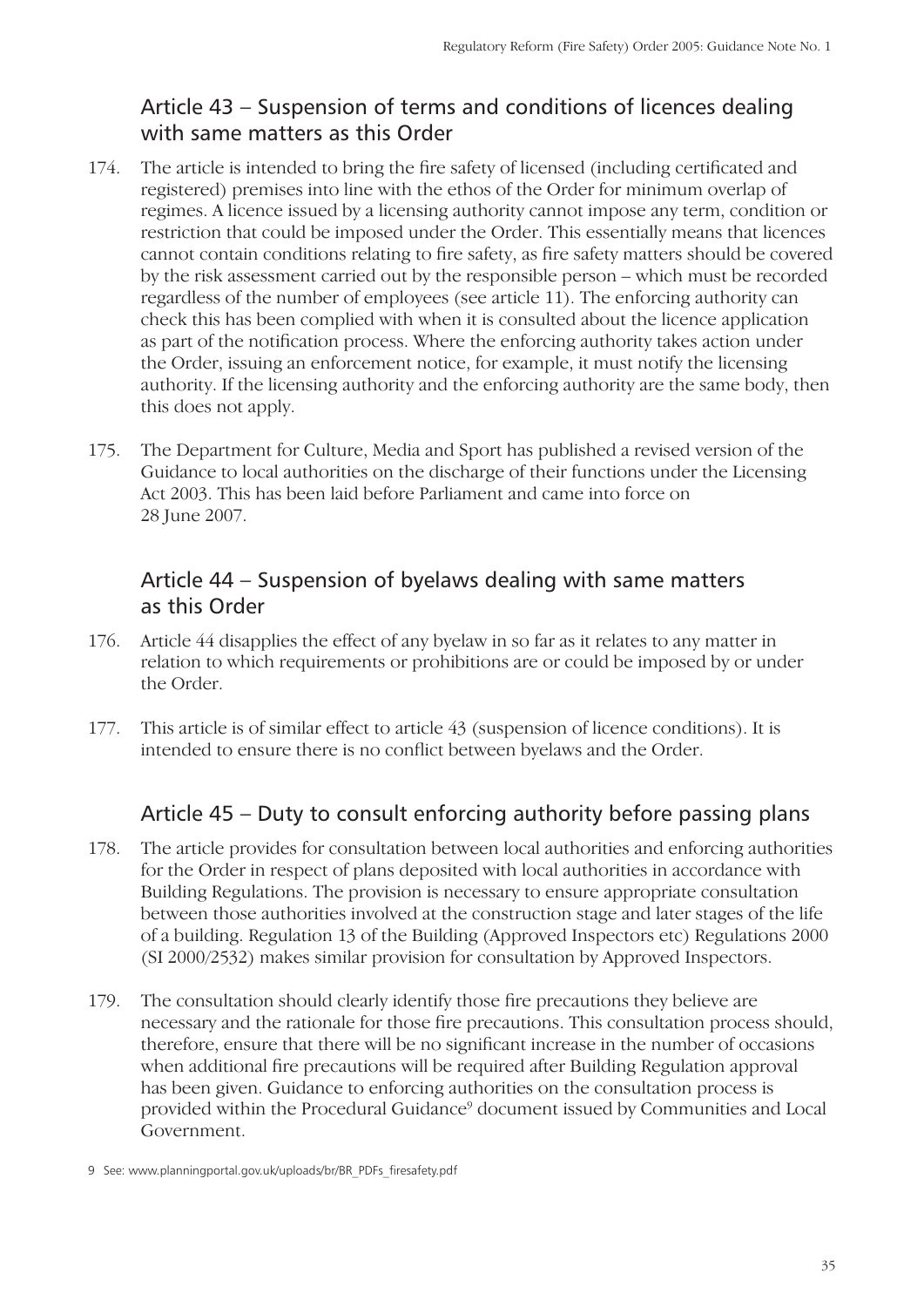# Article 43 – Suspension of terms and conditions of licences dealing with same matters as this Order

- 174. The article is intended to bring the fire safety of licensed (including certificated and registered) premises into line with the ethos of the Order for minimum overlap of regimes. A licence issued by a licensing authority cannot impose any term, condition or restriction that could be imposed under the Order. This essentially means that licences cannot contain conditions relating to fire safety, as fire safety matters should be covered by the risk assessment carried out by the responsible person – which must be recorded regardless of the number of employees (see article 11). The enforcing authority can check this has been complied with when it is consulted about the licence application as part of the notification process. Where the enforcing authority takes action under the Order, issuing an enforcement notice, for example, it must notify the licensing authority. If the licensing authority and the enforcing authority are the same body, then this does not apply.
- 175. The Department for Culture, Media and Sport has published a revised version of the Guidance to local authorities on the discharge of their functions under the Licensing Act 2003. This has been laid before Parliament and came into force on 28 June 2007.

#### Article 44 – Suspension of byelaws dealing with same matters as this Order

- 176. Article 44 disapplies the effect of any byelaw in so far as it relates to any matter in relation to which requirements or prohibitions are or could be imposed by or under the Order.
- 177. This article is of similar effect to article 43 (suspension of licence conditions). It is intended to ensure there is no conflict between byelaws and the Order.

#### Article 45 – Duty to consult enforcing authority before passing plans

- 178. The article provides for consultation between local authorities and enforcing authorities for the Order in respect of plans deposited with local authorities in accordance with Building Regulations. The provision is necessary to ensure appropriate consultation between those authorities involved at the construction stage and later stages of the life of a building. Regulation 13 of the Building (Approved Inspectors etc) Regulations 2000 (SI 2000/2532) makes similar provision for consultation by Approved Inspectors.
- 179. The consultation should clearly identify those fire precautions they believe are necessary and the rationale for those fire precautions. This consultation process should, therefore, ensure that there will be no significant increase in the number of occasions when additional fire precautions will be required after Building Regulation approval has been given. Guidance to enforcing authorities on the consultation process is provided within the Procedural Guidance<sup>9</sup> document issued by Communities and Local Government.

<sup>9</sup> See: www.planningportal.gov.uk/uploads/br/BR\_PDFs\_firesafety.pdf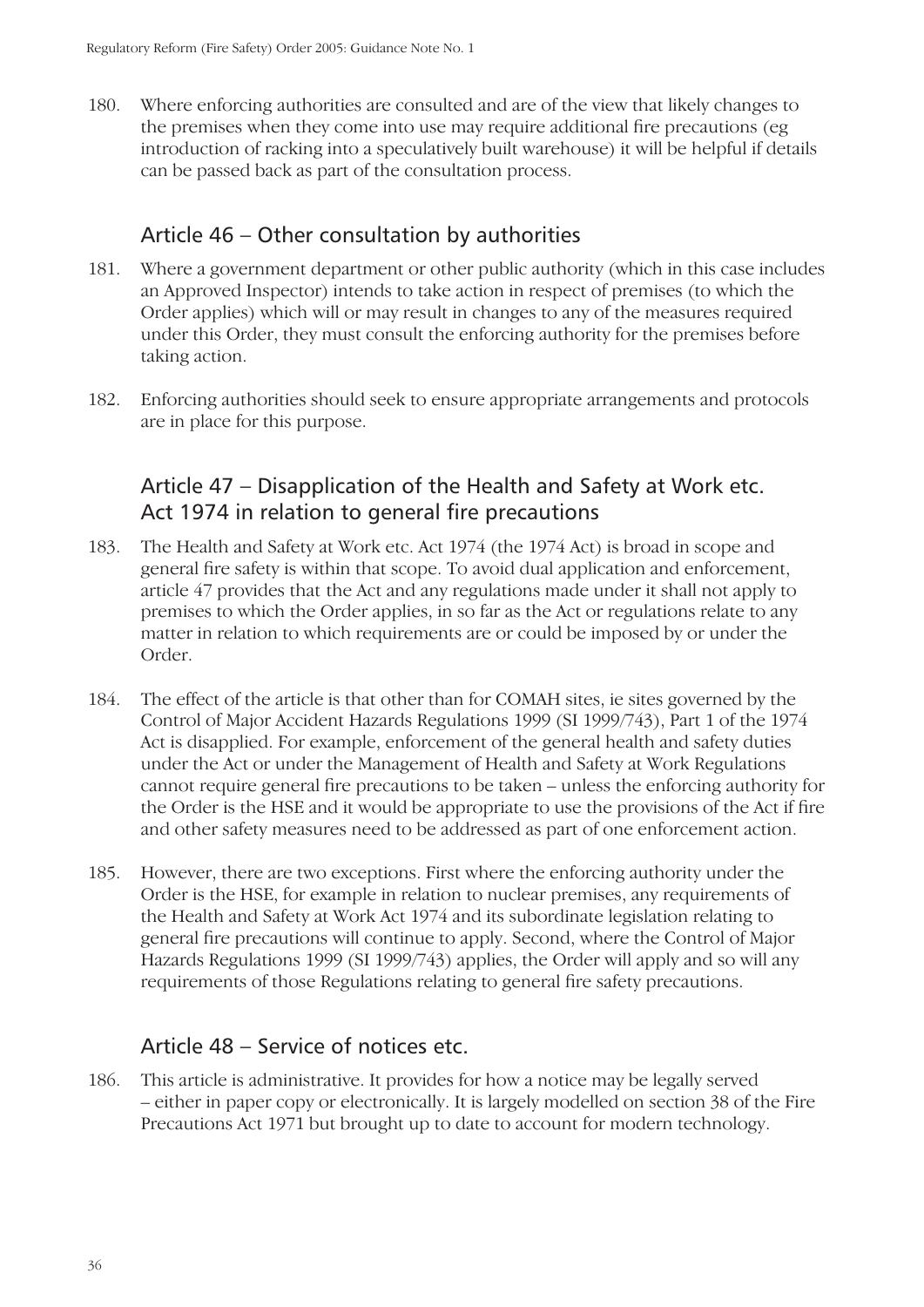180. Where enforcing authorities are consulted and are of the view that likely changes to the premises when they come into use may require additional fire precautions (eg) introduction of racking into a speculatively built warehouse) it will be helpful if details can be passed back as part of the consultation process.

#### Article 46 – Other consultation by authorities

- 181. Where a government department or other public authority (which in this case includes an Approved Inspector) intends to take action in respect of premises (to which the Order applies) which will or may result in changes to any of the measures required under this Order, they must consult the enforcing authority for the premises before taking action.
- 182. Enforcing authorities should seek to ensure appropriate arrangements and protocols are in place for this purpose.

## Article 47 – Disapplication of the Health and Safety at Work etc. Act 1974 in relation to general fire precautions

- 183. The Health and Safety at Work etc. Act 1974 (the 1974 Act) is broad in scope and general fire safety is within that scope. To avoid dual application and enforcement, article 47 provides that the Act and any regulations made under it shall not apply to premises to which the Order applies, in so far as the Act or regulations relate to any matter in relation to which requirements are or could be imposed by or under the Order.
- 184. The effect of the article is that other than for COMAH sites, ie sites governed by the Control of Major Accident Hazards Regulations 1999 (SI 1999/743), Part 1 of the 1974 Act is disapplied. For example, enforcement of the general health and safety duties under the Act or under the Management of Health and Safety at Work Regulations cannot require general fire precautions to be taken – unless the enforcing authority for the Order is the HSE and it would be appropriate to use the provisions of the Act if fire and other safety measures need to be addressed as part of one enforcement action.
- 185. However, there are two exceptions. First where the enforcing authority under the Order is the HSE, for example in relation to nuclear premises, any requirements of the Health and Safety at Work Act 1974 and its subordinate legislation relating to general fire precautions will continue to apply. Second, where the Control of Major Hazards Regulations 1999 (SI 1999/743) applies, the Order will apply and so will any requirements of those Regulations relating to general fire safety precautions.

#### Article 48 – Service of notices etc.

186. This article is administrative. It provides for how a notice may be legally served – either in paper copy or electronically. It is largely modelled on section 38 of the Fire Precautions Act 1971 but brought up to date to account for modern technology.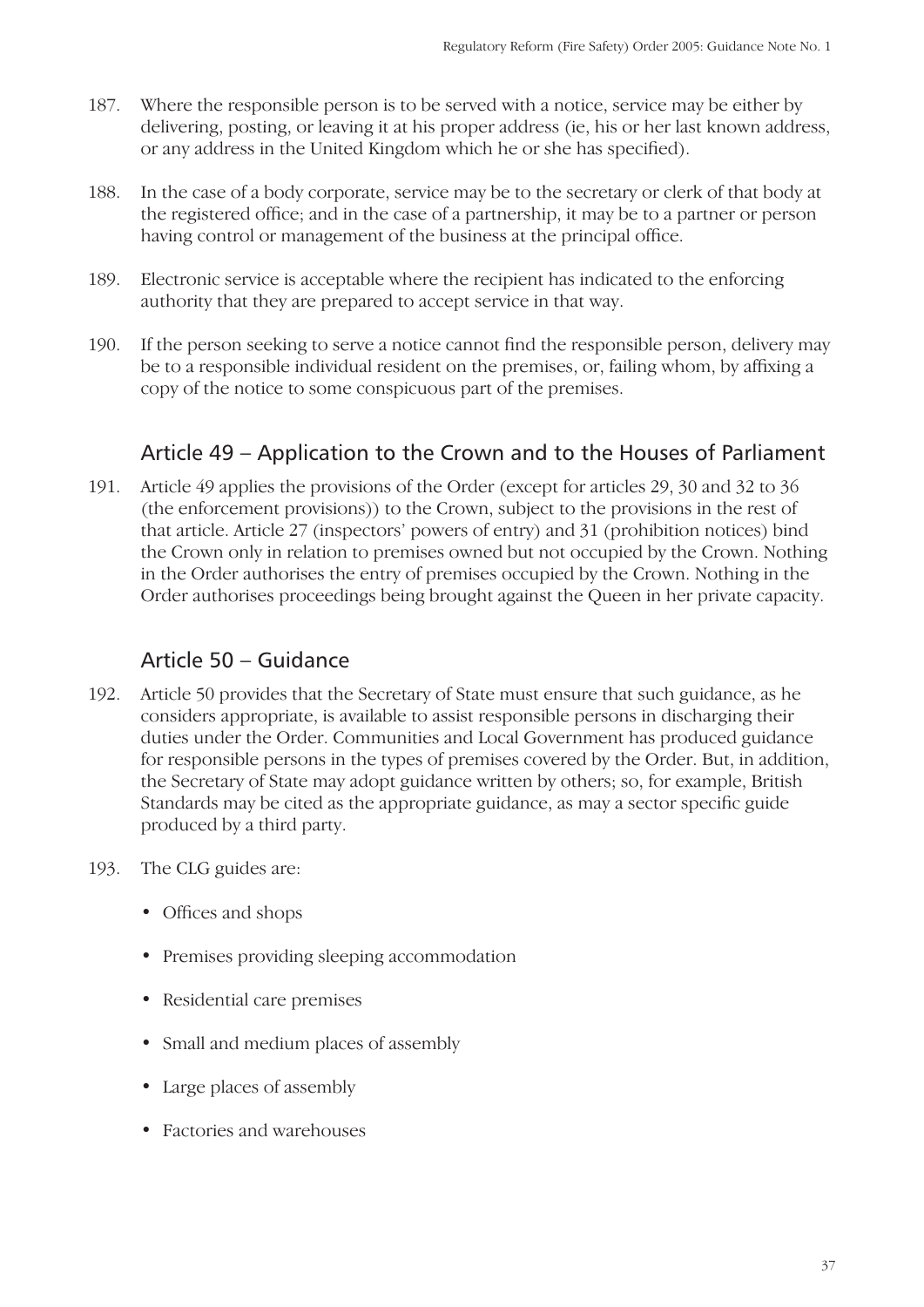- 187. Where the responsible person is to be served with a notice, service may be either by delivering, posting, or leaving it at his proper address (ie, his or her last known address, or any address in the United Kingdom which he or she has specified).
- 188. In the case of a body corporate, service may be to the secretary or clerk of that body at the registered office; and in the case of a partnership, it may be to a partner or person having control or management of the business at the principal office.
- 189. Electronic service is acceptable where the recipient has indicated to the enforcing authority that they are prepared to accept service in that way.
- 190. If the person seeking to serve a notice cannot find the responsible person, delivery may be to a responsible individual resident on the premises, or, failing whom, by affixing a copy of the notice to some conspicuous part of the premises.

#### Article 49 – Application to the Crown and to the Houses of Parliament

191. Article 49 applies the provisions of the Order (except for articles 29, 30 and 32 to 36 (the enforcement provisions)) to the Crown, subject to the provisions in the rest of that article. Article 27 (inspectors' powers of entry) and 31 (prohibition notices) bind the Crown only in relation to premises owned but not occupied by the Crown. Nothing in the Order authorises the entry of premises occupied by the Crown. Nothing in the Order authorises proceedings being brought against the Queen in her private capacity.

#### Article 50 – Guidance

- 192. Article 50 provides that the Secretary of State must ensure that such guidance, as he considers appropriate, is available to assist responsible persons in discharging their duties under the Order. Communities and Local Government has produced guidance for responsible persons in the types of premises covered by the Order. But, in addition, the Secretary of State may adopt guidance written by others; so, for example, British Standards may be cited as the appropriate guidance, as may a sector specific guide produced by a third party.
- 193. The CLG guides are:
	- Offices and shops
	- Premises providing sleeping accommodation
	- Residential care premises
	- Small and medium places of assembly
	- Large places of assembly •
	- Factories and warehouses •